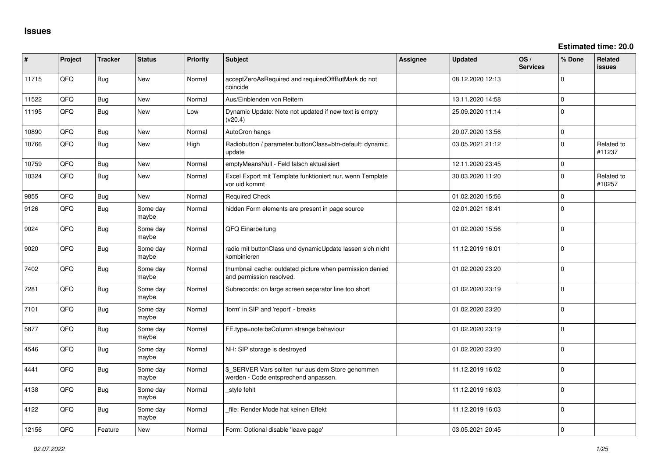**Estimated time: 20.0**

| #     | Project | <b>Tracker</b> | <b>Status</b>     | <b>Priority</b> | <b>Subject</b>                                                                            | Assignee | <b>Updated</b>   | OS/<br><b>Services</b> | % Done         | Related<br>issues    |
|-------|---------|----------------|-------------------|-----------------|-------------------------------------------------------------------------------------------|----------|------------------|------------------------|----------------|----------------------|
| 11715 | QFQ     | Bug            | <b>New</b>        | Normal          | acceptZeroAsRequired and requiredOffButMark do not<br>coincide                            |          | 08.12.2020 12:13 |                        | $\Omega$       |                      |
| 11522 | QFQ     | Bug            | New               | Normal          | Aus/Einblenden von Reitern                                                                |          | 13.11.2020 14:58 |                        | $\Omega$       |                      |
| 11195 | QFQ     | <b>Bug</b>     | New               | Low             | Dynamic Update: Note not updated if new text is empty<br>(v20.4)                          |          | 25.09.2020 11:14 |                        | 0              |                      |
| 10890 | QFQ     | Bug            | New               | Normal          | AutoCron hangs                                                                            |          | 20.07.2020 13:56 |                        | $\mathbf{0}$   |                      |
| 10766 | QFQ     | Bug            | <b>New</b>        | High            | Radiobutton / parameter.buttonClass=btn-default: dynamic<br>update                        |          | 03.05.2021 21:12 |                        | $\Omega$       | Related to<br>#11237 |
| 10759 | QFQ     | Bug            | New               | Normal          | emptyMeansNull - Feld falsch aktualisiert                                                 |          | 12.11.2020 23:45 |                        | 0              |                      |
| 10324 | QFQ     | Bug            | New               | Normal          | Excel Export mit Template funktioniert nur, wenn Template<br>vor uid kommt                |          | 30.03.2020 11:20 |                        | $\mathbf{0}$   | Related to<br>#10257 |
| 9855  | QFQ     | Bug            | <b>New</b>        | Normal          | <b>Required Check</b>                                                                     |          | 01.02.2020 15:56 |                        | $\overline{0}$ |                      |
| 9126  | QFQ     | Bug            | Some day<br>maybe | Normal          | hidden Form elements are present in page source                                           |          | 02.01.2021 18:41 |                        | $\Omega$       |                      |
| 9024  | QFQ     | <b>Bug</b>     | Some day<br>maybe | Normal          | QFQ Einarbeitung                                                                          |          | 01.02.2020 15:56 |                        | 0              |                      |
| 9020  | QFQ     | Bug            | Some day<br>maybe | Normal          | radio mit buttonClass und dynamicUpdate lassen sich nicht<br>kombinieren                  |          | 11.12.2019 16:01 |                        | $\Omega$       |                      |
| 7402  | QFQ     | Bug            | Some day<br>maybe | Normal          | thumbnail cache: outdated picture when permission denied<br>and permission resolved.      |          | 01.02.2020 23:20 |                        | $\Omega$       |                      |
| 7281  | QFQ     | Bug            | Some day<br>maybe | Normal          | Subrecords: on large screen separator line too short                                      |          | 01.02.2020 23:19 |                        | $\mathbf{0}$   |                      |
| 7101  | QFQ     | Bug            | Some day<br>maybe | Normal          | 'form' in SIP and 'report' - breaks                                                       |          | 01.02.2020 23:20 |                        | 0              |                      |
| 5877  | QFQ     | Bug            | Some day<br>maybe | Normal          | FE.type=note:bsColumn strange behaviour                                                   |          | 01.02.2020 23:19 |                        | $\mathbf{0}$   |                      |
| 4546  | QFQ     | Bug            | Some day<br>maybe | Normal          | NH: SIP storage is destroyed                                                              |          | 01.02.2020 23:20 |                        | $\mathbf{0}$   |                      |
| 4441  | QFQ     | Bug            | Some day<br>maybe | Normal          | \$_SERVER Vars sollten nur aus dem Store genommen<br>werden - Code entsprechend anpassen. |          | 11.12.2019 16:02 |                        | $\Omega$       |                      |
| 4138  | QFQ     | Bug            | Some day<br>maybe | Normal          | style fehlt                                                                               |          | 11.12.2019 16:03 |                        | $\Omega$       |                      |
| 4122  | QFQ     | Bug            | Some day<br>maybe | Normal          | file: Render Mode hat keinen Effekt                                                       |          | 11.12.2019 16:03 |                        | 0              |                      |
| 12156 | QFQ     | Feature        | New               | Normal          | Form: Optional disable 'leave page'                                                       |          | 03.05.2021 20:45 |                        | $\mathbf 0$    |                      |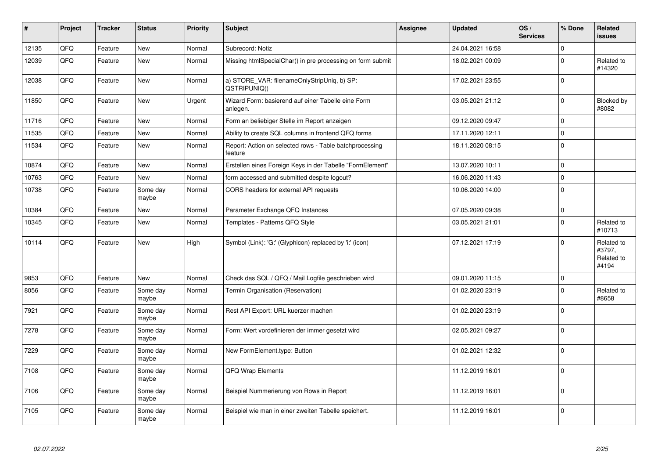| ∦     | Project | <b>Tracker</b> | <b>Status</b>     | <b>Priority</b> | <b>Subject</b>                                                     | Assignee | <b>Updated</b>   | OS/<br><b>Services</b> | % Done       | Related<br><b>issues</b>                    |
|-------|---------|----------------|-------------------|-----------------|--------------------------------------------------------------------|----------|------------------|------------------------|--------------|---------------------------------------------|
| 12135 | QFQ     | Feature        | <b>New</b>        | Normal          | Subrecord: Notiz                                                   |          | 24.04.2021 16:58 |                        | $\Omega$     |                                             |
| 12039 | QFQ     | Feature        | <b>New</b>        | Normal          | Missing htmlSpecialChar() in pre processing on form submit         |          | 18.02.2021 00:09 |                        | $\Omega$     | Related to<br>#14320                        |
| 12038 | QFQ     | Feature        | <b>New</b>        | Normal          | a) STORE_VAR: filenameOnlyStripUniq, b) SP:<br>QSTRIPUNIQ()        |          | 17.02.2021 23:55 |                        | $\Omega$     |                                             |
| 11850 | QFQ     | Feature        | <b>New</b>        | Urgent          | Wizard Form: basierend auf einer Tabelle eine Form<br>anlegen.     |          | 03.05.2021 21:12 |                        | $\mathbf 0$  | <b>Blocked by</b><br>#8082                  |
| 11716 | QFQ     | Feature        | <b>New</b>        | Normal          | Form an beliebiger Stelle im Report anzeigen                       |          | 09.12.2020 09:47 |                        | $\mathbf 0$  |                                             |
| 11535 | QFQ     | Feature        | <b>New</b>        | Normal          | Ability to create SQL columns in frontend QFQ forms                |          | 17.11.2020 12:11 |                        | $\Omega$     |                                             |
| 11534 | QFQ     | Feature        | <b>New</b>        | Normal          | Report: Action on selected rows - Table batchprocessing<br>feature |          | 18.11.2020 08:15 |                        | $\Omega$     |                                             |
| 10874 | QFQ     | Feature        | <b>New</b>        | Normal          | Erstellen eines Foreign Keys in der Tabelle "FormElement"          |          | 13.07.2020 10:11 |                        | $\mathbf 0$  |                                             |
| 10763 | QFQ     | Feature        | <b>New</b>        | Normal          | form accessed and submitted despite logout?                        |          | 16.06.2020 11:43 |                        | $\mathbf 0$  |                                             |
| 10738 | QFQ     | Feature        | Some day<br>maybe | Normal          | CORS headers for external API requests                             |          | 10.06.2020 14:00 |                        | $\mathbf{0}$ |                                             |
| 10384 | QFQ     | Feature        | <b>New</b>        | Normal          | Parameter Exchange QFQ Instances                                   |          | 07.05.2020 09:38 |                        | $\mathbf 0$  |                                             |
| 10345 | QFQ     | Feature        | New               | Normal          | Templates - Patterns QFQ Style                                     |          | 03.05.2021 21:01 |                        | $\Omega$     | Related to<br>#10713                        |
| 10114 | QFQ     | Feature        | <b>New</b>        | High            | Symbol (Link): 'G:' (Glyphicon) replaced by 'i:' (icon)            |          | 07.12.2021 17:19 |                        | $\Omega$     | Related to<br>#3797,<br>Related to<br>#4194 |
| 9853  | QFQ     | Feature        | <b>New</b>        | Normal          | Check das SQL / QFQ / Mail Logfile geschrieben wird                |          | 09.01.2020 11:15 |                        | $\Omega$     |                                             |
| 8056  | QFQ     | Feature        | Some day<br>maybe | Normal          | Termin Organisation (Reservation)                                  |          | 01.02.2020 23:19 |                        | $\Omega$     | Related to<br>#8658                         |
| 7921  | QFQ     | Feature        | Some day<br>maybe | Normal          | Rest API Export: URL kuerzer machen                                |          | 01.02.2020 23:19 |                        | $\Omega$     |                                             |
| 7278  | QFQ     | Feature        | Some day<br>maybe | Normal          | Form: Wert vordefinieren der immer gesetzt wird                    |          | 02.05.2021 09:27 |                        | $\Omega$     |                                             |
| 7229  | QFQ     | Feature        | Some day<br>maybe | Normal          | New FormElement.type: Button                                       |          | 01.02.2021 12:32 |                        | $\mathbf{0}$ |                                             |
| 7108  | QFQ     | Feature        | Some day<br>maybe | Normal          | QFQ Wrap Elements                                                  |          | 11.12.2019 16:01 |                        | $\mathbf 0$  |                                             |
| 7106  | QFQ     | Feature        | Some day<br>maybe | Normal          | Beispiel Nummerierung von Rows in Report                           |          | 11.12.2019 16:01 |                        | $\Omega$     |                                             |
| 7105  | QFQ     | Feature        | Some day<br>maybe | Normal          | Beispiel wie man in einer zweiten Tabelle speichert.               |          | 11.12.2019 16:01 |                        | $\Omega$     |                                             |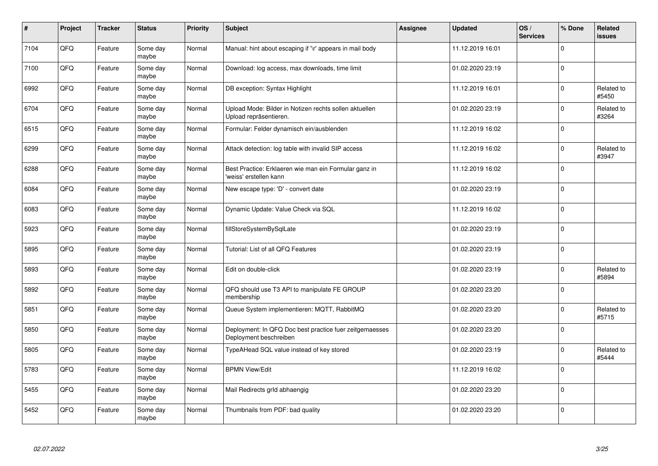| $\pmb{\#}$ | Project | <b>Tracker</b> | <b>Status</b>     | <b>Priority</b> | <b>Subject</b>                                                                    | Assignee | <b>Updated</b>   | OS/<br><b>Services</b> | % Done      | Related<br>issues   |
|------------|---------|----------------|-------------------|-----------------|-----------------------------------------------------------------------------------|----------|------------------|------------------------|-------------|---------------------|
| 7104       | QFQ     | Feature        | Some day<br>maybe | Normal          | Manual: hint about escaping if '\r' appears in mail body                          |          | 11.12.2019 16:01 |                        | $\mathbf 0$ |                     |
| 7100       | QFQ     | Feature        | Some day<br>maybe | Normal          | Download: log access, max downloads, time limit                                   |          | 01.02.2020 23:19 |                        | 0 l         |                     |
| 6992       | QFQ     | Feature        | Some day<br>maybe | Normal          | DB exception: Syntax Highlight                                                    |          | 11.12.2019 16:01 |                        | $\mathbf 0$ | Related to<br>#5450 |
| 6704       | QFQ     | Feature        | Some day<br>maybe | Normal          | Upload Mode: Bilder in Notizen rechts sollen aktuellen<br>Upload repräsentieren.  |          | 01.02.2020 23:19 |                        | $\mathbf 0$ | Related to<br>#3264 |
| 6515       | QFQ     | Feature        | Some day<br>maybe | Normal          | Formular: Felder dynamisch ein/ausblenden                                         |          | 11.12.2019 16:02 |                        | $\mathbf 0$ |                     |
| 6299       | QFQ     | Feature        | Some day<br>maybe | Normal          | Attack detection: log table with invalid SIP access                               |          | 11.12.2019 16:02 |                        | $\mathbf 0$ | Related to<br>#3947 |
| 6288       | QFQ     | Feature        | Some day<br>maybe | Normal          | Best Practice: Erklaeren wie man ein Formular ganz in<br>'weiss' erstellen kann   |          | 11.12.2019 16:02 |                        | $\pmb{0}$   |                     |
| 6084       | QFQ     | Feature        | Some day<br>maybe | Normal          | New escape type: 'D' - convert date                                               |          | 01.02.2020 23:19 |                        | $\Omega$    |                     |
| 6083       | QFQ     | Feature        | Some day<br>maybe | Normal          | Dynamic Update: Value Check via SQL                                               |          | 11.12.2019 16:02 |                        | $\mathbf 0$ |                     |
| 5923       | QFQ     | Feature        | Some day<br>maybe | Normal          | fillStoreSystemBySqlLate                                                          |          | 01.02.2020 23:19 |                        | $\Omega$    |                     |
| 5895       | QFQ     | Feature        | Some day<br>maybe | Normal          | Tutorial: List of all QFQ Features                                                |          | 01.02.2020 23:19 |                        | 0           |                     |
| 5893       | QFQ     | Feature        | Some day<br>maybe | Normal          | Edit on double-click                                                              |          | 01.02.2020 23:19 |                        | $\Omega$    | Related to<br>#5894 |
| 5892       | QFQ     | Feature        | Some day<br>maybe | Normal          | QFQ should use T3 API to manipulate FE GROUP<br>membership                        |          | 01.02.2020 23:20 |                        | 0           |                     |
| 5851       | QFQ     | Feature        | Some day<br>maybe | Normal          | Queue System implementieren: MQTT, RabbitMQ                                       |          | 01.02.2020 23:20 |                        | $\mathbf 0$ | Related to<br>#5715 |
| 5850       | QFQ     | Feature        | Some day<br>maybe | Normal          | Deployment: In QFQ Doc best practice fuer zeitgemaesses<br>Deployment beschreiben |          | 01.02.2020 23:20 |                        | $\mathbf 0$ |                     |
| 5805       | QFQ     | Feature        | Some day<br>maybe | Normal          | TypeAHead SQL value instead of key stored                                         |          | 01.02.2020 23:19 |                        | $\Omega$    | Related to<br>#5444 |
| 5783       | QFQ     | Feature        | Some day<br>maybe | Normal          | <b>BPMN View/Edit</b>                                                             |          | 11.12.2019 16:02 |                        | $\Omega$    |                     |
| 5455       | QFQ     | Feature        | Some day<br>maybe | Normal          | Mail Redirects grld abhaengig                                                     |          | 01.02.2020 23:20 |                        | $\mathbf 0$ |                     |
| 5452       | QFQ     | Feature        | Some day<br>maybe | Normal          | Thumbnails from PDF: bad quality                                                  |          | 01.02.2020 23:20 |                        | $\Omega$    |                     |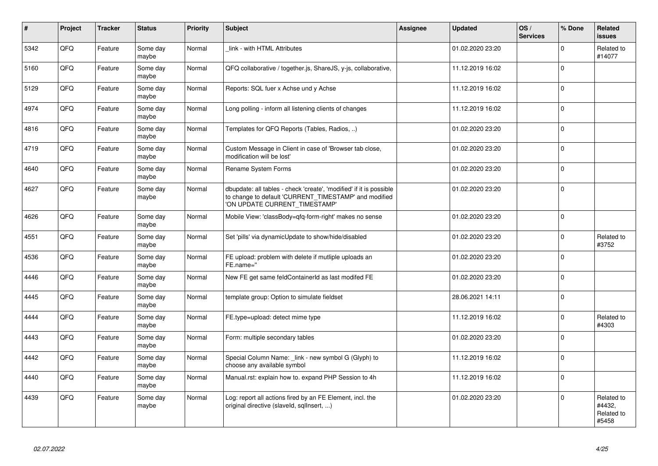| $\vert$ # | Project | <b>Tracker</b> | <b>Status</b>     | <b>Priority</b> | <b>Subject</b>                                                                                                                                                | Assignee | <b>Updated</b>   | OS/<br><b>Services</b> | % Done      | Related<br><b>issues</b>                    |
|-----------|---------|----------------|-------------------|-----------------|---------------------------------------------------------------------------------------------------------------------------------------------------------------|----------|------------------|------------------------|-------------|---------------------------------------------|
| 5342      | QFQ     | Feature        | Some day<br>maybe | Normal          | link - with HTML Attributes                                                                                                                                   |          | 01.02.2020 23:20 |                        | $\Omega$    | Related to<br>#14077                        |
| 5160      | QFQ     | Feature        | Some day<br>maybe | Normal          | QFQ collaborative / together.js, ShareJS, y-js, collaborative,                                                                                                |          | 11.12.2019 16:02 |                        | $\Omega$    |                                             |
| 5129      | QFQ     | Feature        | Some day<br>maybe | Normal          | Reports: SQL fuer x Achse und y Achse                                                                                                                         |          | 11.12.2019 16:02 |                        | $\mathbf 0$ |                                             |
| 4974      | QFQ     | Feature        | Some day<br>maybe | Normal          | Long polling - inform all listening clients of changes                                                                                                        |          | 11.12.2019 16:02 |                        | $\Omega$    |                                             |
| 4816      | QFQ     | Feature        | Some day<br>maybe | Normal          | Templates for QFQ Reports (Tables, Radios, )                                                                                                                  |          | 01.02.2020 23:20 |                        | $\Omega$    |                                             |
| 4719      | QFQ     | Feature        | Some day<br>maybe | Normal          | Custom Message in Client in case of 'Browser tab close,<br>modification will be lost'                                                                         |          | 01.02.2020 23:20 |                        | $\Omega$    |                                             |
| 4640      | QFQ     | Feature        | Some day<br>maybe | Normal          | Rename System Forms                                                                                                                                           |          | 01.02.2020 23:20 |                        | $\Omega$    |                                             |
| 4627      | QFQ     | Feature        | Some day<br>maybe | Normal          | dbupdate: all tables - check 'create', 'modified' if it is possible<br>to change to default 'CURRENT_TIMESTAMP' and modified<br>'ON UPDATE CURRENT TIMESTAMP' |          | 01.02.2020 23:20 |                        | $\Omega$    |                                             |
| 4626      | QFQ     | Feature        | Some day<br>maybe | Normal          | Mobile View: 'classBody=qfq-form-right' makes no sense                                                                                                        |          | 01.02.2020 23:20 |                        | $\Omega$    |                                             |
| 4551      | QFQ     | Feature        | Some day<br>maybe | Normal          | Set 'pills' via dynamicUpdate to show/hide/disabled                                                                                                           |          | 01.02.2020 23:20 |                        | $\Omega$    | Related to<br>#3752                         |
| 4536      | QFQ     | Feature        | Some day<br>maybe | Normal          | FE upload: problem with delete if mutliple uploads an<br>FE.name="                                                                                            |          | 01.02.2020 23:20 |                        | $\Omega$    |                                             |
| 4446      | QFQ     | Feature        | Some day<br>maybe | Normal          | New FE get same feldContainerId as last modifed FE                                                                                                            |          | 01.02.2020 23:20 |                        | $\Omega$    |                                             |
| 4445      | QFQ     | Feature        | Some day<br>maybe | Normal          | template group: Option to simulate fieldset                                                                                                                   |          | 28.06.2021 14:11 |                        | $\Omega$    |                                             |
| 4444      | QFQ     | Feature        | Some day<br>maybe | Normal          | FE.type=upload: detect mime type                                                                                                                              |          | 11.12.2019 16:02 |                        | $\Omega$    | Related to<br>#4303                         |
| 4443      | QFQ     | Feature        | Some day<br>maybe | Normal          | Form: multiple secondary tables                                                                                                                               |          | 01.02.2020 23:20 |                        | $\Omega$    |                                             |
| 4442      | QFQ     | Feature        | Some day<br>maybe | Normal          | Special Column Name: _link - new symbol G (Glyph) to<br>choose any available symbol                                                                           |          | 11.12.2019 16:02 |                        | $\Omega$    |                                             |
| 4440      | QFQ     | Feature        | Some day<br>maybe | Normal          | Manual.rst: explain how to. expand PHP Session to 4h                                                                                                          |          | 11.12.2019 16:02 |                        | $\Omega$    |                                             |
| 4439      | QFQ     | Feature        | Some day<br>maybe | Normal          | Log: report all actions fired by an FE Element, incl. the<br>original directive (slaveld, sqllnsert, )                                                        |          | 01.02.2020 23:20 |                        | $\Omega$    | Related to<br>#4432,<br>Related to<br>#5458 |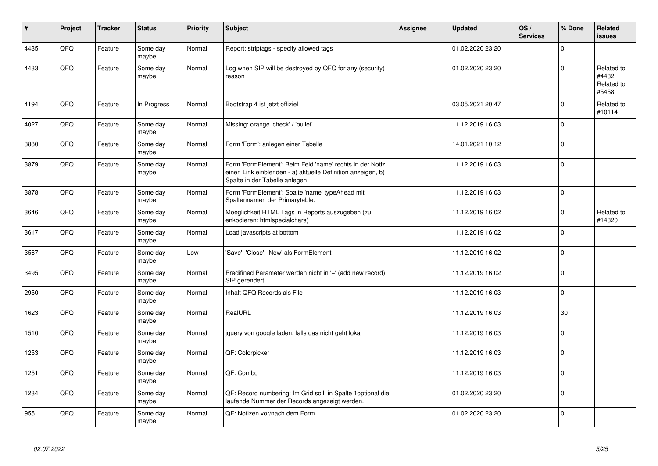| ∦    | Project | <b>Tracker</b> | <b>Status</b>     | <b>Priority</b> | <b>Subject</b>                                                                                                                                           | Assignee | <b>Updated</b>   | OS/<br><b>Services</b> | % Done         | Related<br><b>issues</b>                    |
|------|---------|----------------|-------------------|-----------------|----------------------------------------------------------------------------------------------------------------------------------------------------------|----------|------------------|------------------------|----------------|---------------------------------------------|
| 4435 | QFQ     | Feature        | Some day<br>maybe | Normal          | Report: striptags - specify allowed tags                                                                                                                 |          | 01.02.2020 23:20 |                        | $\Omega$       |                                             |
| 4433 | QFQ     | Feature        | Some day<br>maybe | Normal          | Log when SIP will be destroyed by QFQ for any (security)<br>reason                                                                                       |          | 01.02.2020 23:20 |                        | $\Omega$       | Related to<br>#4432,<br>Related to<br>#5458 |
| 4194 | QFQ     | Feature        | In Progress       | Normal          | Bootstrap 4 ist jetzt offiziel                                                                                                                           |          | 03.05.2021 20:47 |                        | $\Omega$       | Related to<br>#10114                        |
| 4027 | QFQ     | Feature        | Some day<br>maybe | Normal          | Missing: orange 'check' / 'bullet'                                                                                                                       |          | 11.12.2019 16:03 |                        | $\Omega$       |                                             |
| 3880 | QFQ     | Feature        | Some day<br>maybe | Normal          | Form 'Form': anlegen einer Tabelle                                                                                                                       |          | 14.01.2021 10:12 |                        | $\Omega$       |                                             |
| 3879 | QFQ     | Feature        | Some day<br>maybe | Normal          | Form 'FormElement': Beim Feld 'name' rechts in der Notiz<br>einen Link einblenden - a) aktuelle Definition anzeigen, b)<br>Spalte in der Tabelle anlegen |          | 11.12.2019 16:03 |                        | $\Omega$       |                                             |
| 3878 | QFQ     | Feature        | Some day<br>maybe | Normal          | Form 'FormElement': Spalte 'name' typeAhead mit<br>Spaltennamen der Primarytable.                                                                        |          | 11.12.2019 16:03 |                        | $\Omega$       |                                             |
| 3646 | QFQ     | Feature        | Some day<br>maybe | Normal          | Moeglichkeit HTML Tags in Reports auszugeben (zu<br>enkodieren: htmlspecialchars)                                                                        |          | 11.12.2019 16:02 |                        | $\Omega$       | Related to<br>#14320                        |
| 3617 | QFQ     | Feature        | Some day<br>maybe | Normal          | Load javascripts at bottom                                                                                                                               |          | 11.12.2019 16:02 |                        | $\Omega$       |                                             |
| 3567 | QFQ     | Feature        | Some day<br>maybe | Low             | 'Save', 'Close', 'New' als FormElement                                                                                                                   |          | 11.12.2019 16:02 |                        | $\Omega$       |                                             |
| 3495 | QFQ     | Feature        | Some day<br>maybe | Normal          | Predifined Parameter werden nicht in '+' (add new record)<br>SIP gerendert.                                                                              |          | 11.12.2019 16:02 |                        | $\Omega$       |                                             |
| 2950 | QFQ     | Feature        | Some day<br>maybe | Normal          | Inhalt QFQ Records als File                                                                                                                              |          | 11.12.2019 16:03 |                        | $\Omega$       |                                             |
| 1623 | QFQ     | Feature        | Some day<br>maybe | Normal          | RealURL                                                                                                                                                  |          | 11.12.2019 16:03 |                        | 30             |                                             |
| 1510 | QFQ     | Feature        | Some day<br>maybe | Normal          | jquery von google laden, falls das nicht geht lokal                                                                                                      |          | 11.12.2019 16:03 |                        | $\Omega$       |                                             |
| 1253 | QFQ     | Feature        | Some day<br>maybe | Normal          | QF: Colorpicker                                                                                                                                          |          | 11.12.2019 16:03 |                        | $\overline{0}$ |                                             |
| 1251 | QFQ     | Feature        | Some day<br>maybe | Normal          | QF: Combo                                                                                                                                                |          | 11.12.2019 16:03 |                        | $\Omega$       |                                             |
| 1234 | QFQ     | Feature        | Some day<br>maybe | Normal          | QF: Record numbering: Im Grid soll in Spalte 1 optional die<br>laufende Nummer der Records angezeigt werden.                                             |          | 01.02.2020 23:20 |                        | $\Omega$       |                                             |
| 955  | QFQ     | Feature        | Some day<br>maybe | Normal          | QF: Notizen vor/nach dem Form                                                                                                                            |          | 01.02.2020 23:20 |                        | $\Omega$       |                                             |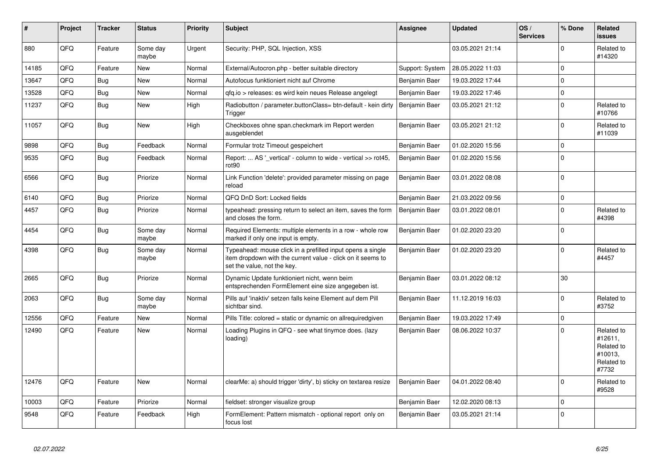| #     | Project | <b>Tracker</b> | <b>Status</b>     | <b>Priority</b> | <b>Subject</b>                                                                                                                                           | Assignee        | <b>Updated</b>   | OS/<br><b>Services</b> | % Done   | Related<br>issues                                                     |
|-------|---------|----------------|-------------------|-----------------|----------------------------------------------------------------------------------------------------------------------------------------------------------|-----------------|------------------|------------------------|----------|-----------------------------------------------------------------------|
| 880   | QFQ     | Feature        | Some day<br>maybe | Urgent          | Security: PHP, SQL Injection, XSS                                                                                                                        |                 | 03.05.2021 21:14 |                        | $\Omega$ | Related to<br>#14320                                                  |
| 14185 | QFQ     | Feature        | <b>New</b>        | Normal          | External/Autocron.php - better suitable directory                                                                                                        | Support: System | 28.05.2022 11:03 |                        | $\Omega$ |                                                                       |
| 13647 | QFQ     | Bug            | <b>New</b>        | Normal          | Autofocus funktioniert nicht auf Chrome                                                                                                                  | Benjamin Baer   | 19.03.2022 17:44 |                        | $\Omega$ |                                                                       |
| 13528 | QFQ     | Bug            | <b>New</b>        | Normal          | gfg.io > releases: es wird kein neues Release angelegt                                                                                                   | Benjamin Baer   | 19.03.2022 17:46 |                        | $\Omega$ |                                                                       |
| 11237 | QFQ     | Bug            | <b>New</b>        | High            | Radiobutton / parameter.buttonClass= btn-default - kein dirty<br>Trigger                                                                                 | Benjamin Baer   | 03.05.2021 21:12 |                        | $\Omega$ | Related to<br>#10766                                                  |
| 11057 | QFQ     | <b>Bug</b>     | <b>New</b>        | High            | Checkboxes ohne span.checkmark im Report werden<br>ausgeblendet                                                                                          | Benjamin Baer   | 03.05.2021 21:12 |                        | $\Omega$ | Related to<br>#11039                                                  |
| 9898  | QFQ     | Bug            | Feedback          | Normal          | Formular trotz Timeout gespeichert                                                                                                                       | Benjamin Baer   | 01.02.2020 15:56 |                        | $\Omega$ |                                                                       |
| 9535  | QFQ     | <b>Bug</b>     | Feedback          | Normal          | Report:  AS '_vertical' - column to wide - vertical >> rot45,<br>rot <sub>90</sub>                                                                       | Benjamin Baer   | 01.02.2020 15:56 |                        | $\Omega$ |                                                                       |
| 6566  | QFQ     | <b>Bug</b>     | Priorize          | Normal          | Link Function 'delete': provided parameter missing on page<br>reload                                                                                     | Benjamin Baer   | 03.01.2022 08:08 |                        | $\Omega$ |                                                                       |
| 6140  | QFQ     | <b>Bug</b>     | Priorize          | Normal          | QFQ DnD Sort: Locked fields                                                                                                                              | Benjamin Baer   | 21.03.2022 09:56 |                        | $\Omega$ |                                                                       |
| 4457  | QFQ     | Bug            | Priorize          | Normal          | typeahead: pressing return to select an item, saves the form<br>and closes the form.                                                                     | Benjamin Baer   | 03.01.2022 08:01 |                        | $\Omega$ | Related to<br>#4398                                                   |
| 4454  | QFQ     | <b>Bug</b>     | Some day<br>maybe | Normal          | Required Elements: multiple elements in a row - whole row<br>marked if only one input is empty.                                                          | Benjamin Baer   | 01.02.2020 23:20 |                        | $\Omega$ |                                                                       |
| 4398  | QFQ     | <b>Bug</b>     | Some day<br>maybe | Normal          | Typeahead: mouse click in a prefilled input opens a single<br>item dropdown with the current value - click on it seems to<br>set the value, not the key. | Benjamin Baer   | 01.02.2020 23:20 |                        | $\Omega$ | Related to<br>#4457                                                   |
| 2665  | QFQ     | <b>Bug</b>     | Priorize          | Normal          | Dynamic Update funktioniert nicht, wenn beim<br>entsprechenden FormElement eine size angegeben ist.                                                      | Benjamin Baer   | 03.01.2022 08:12 |                        | 30       |                                                                       |
| 2063  | QFQ     | <b>Bug</b>     | Some day<br>maybe | Normal          | Pills auf 'inaktiv' setzen falls keine Element auf dem Pill<br>sichtbar sind.                                                                            | Benjamin Baer   | 11.12.2019 16:03 |                        | $\Omega$ | Related to<br>#3752                                                   |
| 12556 | QFQ     | Feature        | <b>New</b>        | Normal          | Pills Title: colored = static or dynamic on allrequiredgiven                                                                                             | Benjamin Baer   | 19.03.2022 17:49 |                        | $\Omega$ |                                                                       |
| 12490 | QFQ     | Feature        | <b>New</b>        | Normal          | Loading Plugins in QFQ - see what tinymce does. (lazy<br>loading)                                                                                        | Benjamin Baer   | 08.06.2022 10:37 |                        | $\Omega$ | Related to<br>#12611,<br>Related to<br>#10013,<br>Related to<br>#7732 |
| 12476 | QFQ     | Feature        | <b>New</b>        | Normal          | clearMe: a) should trigger 'dirty', b) sticky on textarea resize                                                                                         | Benjamin Baer   | 04.01.2022 08:40 |                        | $\Omega$ | Related to<br>#9528                                                   |
| 10003 | QFQ     | Feature        | Priorize          | Normal          | fieldset: stronger visualize group                                                                                                                       | Benjamin Baer   | 12.02.2020 08:13 |                        | $\Omega$ |                                                                       |
| 9548  | QFQ     | Feature        | Feedback          | High            | FormElement: Pattern mismatch - optional report only on<br>focus lost                                                                                    | Benjamin Baer   | 03.05.2021 21:14 |                        | $\Omega$ |                                                                       |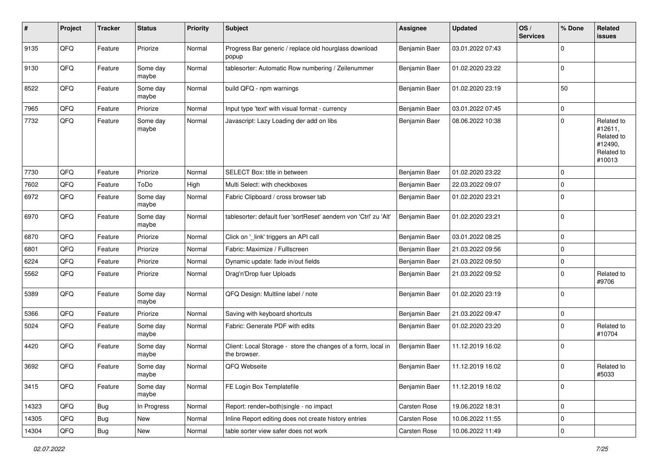| $\sharp$ | Project | <b>Tracker</b> | <b>Status</b>     | <b>Priority</b> | <b>Subject</b>                                                                | <b>Assignee</b> | <b>Updated</b>   | OS/<br><b>Services</b> | % Done      | Related<br><b>issues</b>                                               |
|----------|---------|----------------|-------------------|-----------------|-------------------------------------------------------------------------------|-----------------|------------------|------------------------|-------------|------------------------------------------------------------------------|
| 9135     | QFQ     | Feature        | Priorize          | Normal          | Progress Bar generic / replace old hourglass download<br>popup                | Benjamin Baer   | 03.01.2022 07:43 |                        | 0           |                                                                        |
| 9130     | QFQ     | Feature        | Some day<br>maybe | Normal          | tablesorter: Automatic Row numbering / Zeilenummer                            | Benjamin Baer   | 01.02.2020 23:22 |                        | 0           |                                                                        |
| 8522     | QFQ     | Feature        | Some day<br>maybe | Normal          | build QFQ - npm warnings                                                      | Benjamin Baer   | 01.02.2020 23:19 |                        | 50          |                                                                        |
| 7965     | QFQ     | Feature        | Priorize          | Normal          | Input type 'text' with visual format - currency                               | Benjamin Baer   | 03.01.2022 07:45 |                        | 0           |                                                                        |
| 7732     | QFQ     | Feature        | Some day<br>maybe | Normal          | Javascript: Lazy Loading der add on libs                                      | Benjamin Baer   | 08.06.2022 10:38 |                        | $\mathbf 0$ | Related to<br>#12611,<br>Related to<br>#12490,<br>Related to<br>#10013 |
| 7730     | QFQ     | Feature        | Priorize          | Normal          | SELECT Box: title in between                                                  | Benjamin Baer   | 01.02.2020 23:22 |                        | 0           |                                                                        |
| 7602     | QFQ     | Feature        | ToDo              | High            | Multi Select: with checkboxes                                                 | Benjamin Baer   | 22.03.2022 09:07 |                        | 0           |                                                                        |
| 6972     | QFQ     | Feature        | Some day<br>maybe | Normal          | Fabric Clipboard / cross browser tab                                          | Benjamin Baer   | 01.02.2020 23:21 |                        | $\Omega$    |                                                                        |
| 6970     | QFQ     | Feature        | Some day<br>maybe | Normal          | tablesorter: default fuer 'sortReset' aendern von 'Ctrl' zu 'Alt'             | Benjamin Baer   | 01.02.2020 23:21 |                        | $\mathbf 0$ |                                                                        |
| 6870     | QFQ     | Feature        | Priorize          | Normal          | Click on '_link' triggers an API call                                         | Benjamin Baer   | 03.01.2022 08:25 |                        | $\mathbf 0$ |                                                                        |
| 6801     | QFQ     | Feature        | Priorize          | Normal          | Fabric: Maximize / FullIscreen                                                | Benjamin Baer   | 21.03.2022 09:56 |                        | 0           |                                                                        |
| 6224     | QFQ     | Feature        | Priorize          | Normal          | Dynamic update: fade in/out fields                                            | Benjamin Baer   | 21.03.2022 09:50 |                        | 0           |                                                                        |
| 5562     | QFQ     | Feature        | Priorize          | Normal          | Drag'n'Drop fuer Uploads                                                      | Benjamin Baer   | 21.03.2022 09:52 |                        | 0           | Related to<br>#9706                                                    |
| 5389     | QFQ     | Feature        | Some day<br>maybe | Normal          | QFQ Design: Multline label / note                                             | Benjamin Baer   | 01.02.2020 23:19 |                        | 0           |                                                                        |
| 5366     | QFQ     | Feature        | Priorize          | Normal          | Saving with keyboard shortcuts                                                | Benjamin Baer   | 21.03.2022 09:47 |                        | 0           |                                                                        |
| 5024     | QFQ     | Feature        | Some day<br>maybe | Normal          | Fabric: Generate PDF with edits                                               | Benjamin Baer   | 01.02.2020 23:20 |                        | $\Omega$    | Related to<br>#10704                                                   |
| 4420     | QFQ     | Feature        | Some day<br>maybe | Normal          | Client: Local Storage - store the changes of a form, local in<br>the browser. | Benjamin Baer   | 11.12.2019 16:02 |                        | $\mathbf 0$ |                                                                        |
| 3692     | QFQ     | Feature        | Some day<br>maybe | Normal          | QFQ Webseite                                                                  | Benjamin Baer   | 11.12.2019 16:02 |                        | 0           | Related to<br>#5033                                                    |
| 3415     | QFG     | Feature        | Some day<br>maybe | Normal          | FE Login Box Templatefile                                                     | Benjamin Baer   | 11.12.2019 16:02 |                        | 0           |                                                                        |
| 14323    | QFQ     | Bug            | In Progress       | Normal          | Report: render=both single - no impact                                        | Carsten Rose    | 19.06.2022 18:31 |                        | 0           |                                                                        |
| 14305    | QFQ     | <b>Bug</b>     | New               | Normal          | Inline Report editing does not create history entries                         | Carsten Rose    | 10.06.2022 11:55 |                        | 0           |                                                                        |
| 14304    | QFG     | Bug            | New               | Normal          | table sorter view safer does not work                                         | Carsten Rose    | 10.06.2022 11:49 |                        | $\pmb{0}$   |                                                                        |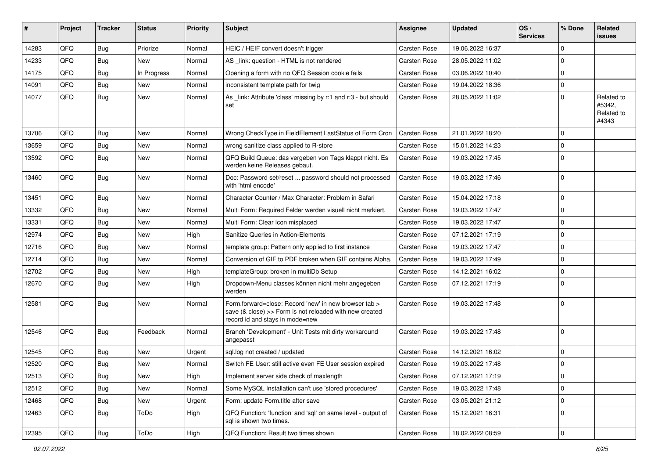| #     | Project | <b>Tracker</b> | <b>Status</b> | <b>Priority</b> | Subject                                                                                                                                             | Assignee            | <b>Updated</b>   | OS/<br><b>Services</b> | % Done      | Related<br>issues                           |
|-------|---------|----------------|---------------|-----------------|-----------------------------------------------------------------------------------------------------------------------------------------------------|---------------------|------------------|------------------------|-------------|---------------------------------------------|
| 14283 | QFQ     | Bug            | Priorize      | Normal          | HEIC / HEIF convert doesn't trigger                                                                                                                 | Carsten Rose        | 19.06.2022 16:37 |                        | $\Omega$    |                                             |
| 14233 | QFQ     | Bug            | <b>New</b>    | Normal          | AS _link: question - HTML is not rendered                                                                                                           | Carsten Rose        | 28.05.2022 11:02 |                        | $\mathbf 0$ |                                             |
| 14175 | QFQ     | Bug            | In Progress   | Normal          | Opening a form with no QFQ Session cookie fails                                                                                                     | <b>Carsten Rose</b> | 03.06.2022 10:40 |                        | $\Omega$    |                                             |
| 14091 | QFQ     | Bug            | <b>New</b>    | Normal          | inconsistent template path for twig                                                                                                                 | <b>Carsten Rose</b> | 19.04.2022 18:36 |                        | $\mathbf 0$ |                                             |
| 14077 | QFQ     | <b>Bug</b>     | New           | Normal          | As _link: Attribute 'class' missing by r:1 and r:3 - but should<br>set                                                                              | <b>Carsten Rose</b> | 28.05.2022 11:02 |                        | $\Omega$    | Related to<br>#5342,<br>Related to<br>#4343 |
| 13706 | QFQ     | Bug            | <b>New</b>    | Normal          | Wrong CheckType in FieldElement LastStatus of Form Cron                                                                                             | <b>Carsten Rose</b> | 21.01.2022 18:20 |                        | $\mathbf 0$ |                                             |
| 13659 | QFQ     | Bug            | New           | Normal          | wrong sanitize class applied to R-store                                                                                                             | <b>Carsten Rose</b> | 15.01.2022 14:23 |                        | $\mathbf 0$ |                                             |
| 13592 | QFQ     | Bug            | New           | Normal          | QFQ Build Queue: das vergeben von Tags klappt nicht. Es<br>werden keine Releases gebaut.                                                            | <b>Carsten Rose</b> | 19.03.2022 17:45 |                        | $\Omega$    |                                             |
| 13460 | QFQ     | Bug            | New           | Normal          | Doc: Password set/reset  password should not processed<br>with 'html encode'                                                                        | <b>Carsten Rose</b> | 19.03.2022 17:46 |                        | l 0         |                                             |
| 13451 | QFQ     | Bug            | <b>New</b>    | Normal          | Character Counter / Max Character: Problem in Safari                                                                                                | <b>Carsten Rose</b> | 15.04.2022 17:18 |                        | $\mathbf 0$ |                                             |
| 13332 | QFQ     | Bug            | New           | Normal          | Multi Form: Required Felder werden visuell nicht markiert.                                                                                          | <b>Carsten Rose</b> | 19.03.2022 17:47 |                        | $\Omega$    |                                             |
| 13331 | QFQ     | Bug            | <b>New</b>    | Normal          | Multi Form: Clear Icon misplaced                                                                                                                    | <b>Carsten Rose</b> | 19.03.2022 17:47 |                        | $\mathbf 0$ |                                             |
| 12974 | QFQ     | Bug            | New           | High            | Sanitize Queries in Action-Elements                                                                                                                 | Carsten Rose        | 07.12.2021 17:19 |                        | $\mathbf 0$ |                                             |
| 12716 | QFQ     | Bug            | <b>New</b>    | Normal          | template group: Pattern only applied to first instance                                                                                              | <b>Carsten Rose</b> | 19.03.2022 17:47 |                        | $\Omega$    |                                             |
| 12714 | QFQ     | Bug            | New           | Normal          | Conversion of GIF to PDF broken when GIF contains Alpha.                                                                                            | <b>Carsten Rose</b> | 19.03.2022 17:49 |                        | $\mathbf 0$ |                                             |
| 12702 | QFQ     | Bug            | New           | High            | templateGroup: broken in multiDb Setup                                                                                                              | <b>Carsten Rose</b> | 14.12.2021 16:02 |                        | $\mathbf 0$ |                                             |
| 12670 | QFQ     | Bug            | New           | High            | Dropdown-Menu classes können nicht mehr angegeben<br>werden                                                                                         | <b>Carsten Rose</b> | 07.12.2021 17:19 |                        | l 0         |                                             |
| 12581 | QFQ     | Bug            | New           | Normal          | Form.forward=close: Record 'new' in new browser tab ><br>save (& close) >> Form is not reloaded with new created<br>record id and stays in mode=new | <b>Carsten Rose</b> | 19.03.2022 17:48 |                        | ١o          |                                             |
| 12546 | QFQ     | Bug            | Feedback      | Normal          | Branch 'Development' - Unit Tests mit dirty workaround<br>angepasst                                                                                 | <b>Carsten Rose</b> | 19.03.2022 17:48 |                        | ١o          |                                             |
| 12545 | QFQ     | Bug            | New           | Urgent          | sql.log not created / updated                                                                                                                       | <b>Carsten Rose</b> | 14.12.2021 16:02 |                        | $\mathbf 0$ |                                             |
| 12520 | QFQ     | Bug            | New           | Normal          | Switch FE User: still active even FE User session expired                                                                                           | <b>Carsten Rose</b> | 19.03.2022 17:48 |                        | $\mathbf 0$ |                                             |
| 12513 | QFQ     | Bug            | New           | High            | Implement server side check of maxlength                                                                                                            | Carsten Rose        | 07.12.2021 17:19 |                        | 0           |                                             |
| 12512 | QFQ     | <b>Bug</b>     | New           | Normal          | Some MySQL Installation can't use 'stored procedures'                                                                                               | Carsten Rose        | 19.03.2022 17:48 |                        | $\mathbf 0$ |                                             |
| 12468 | QFQ     | Bug            | New           | Urgent          | Form: update Form.title after save                                                                                                                  | Carsten Rose        | 03.05.2021 21:12 |                        | 0           |                                             |
| 12463 | QFQ     | <b>Bug</b>     | ToDo          | High            | QFQ Function: 'function' and 'sql' on same level - output of<br>sql is shown two times.                                                             | <b>Carsten Rose</b> | 15.12.2021 16:31 |                        | l 0         |                                             |
| 12395 | QFQ     | Bug            | ToDo          | High            | QFQ Function: Result two times shown                                                                                                                | Carsten Rose        | 18.02.2022 08:59 |                        | 0           |                                             |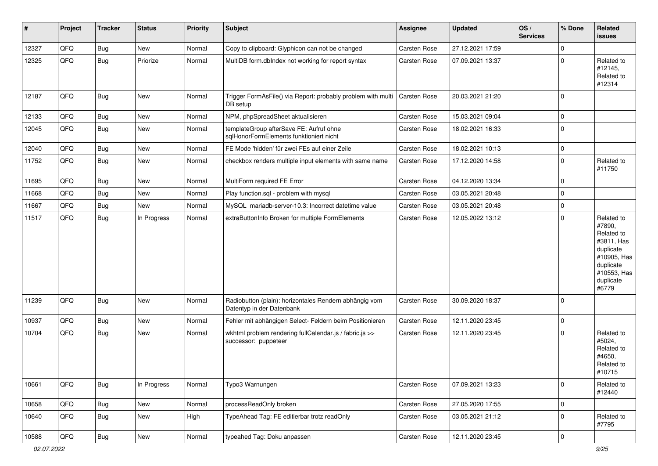| #     | Project | <b>Tracker</b> | <b>Status</b> | <b>Priority</b> | <b>Subject</b>                                                                      | <b>Assignee</b>     | <b>Updated</b>   | OS/<br><b>Services</b> | % Done         | Related<br>issues                                                                                                              |
|-------|---------|----------------|---------------|-----------------|-------------------------------------------------------------------------------------|---------------------|------------------|------------------------|----------------|--------------------------------------------------------------------------------------------------------------------------------|
| 12327 | QFQ     | <b>Bug</b>     | New           | Normal          | Copy to clipboard: Glyphicon can not be changed                                     | Carsten Rose        | 27.12.2021 17:59 |                        | $\Omega$       |                                                                                                                                |
| 12325 | QFQ     | <b>Bug</b>     | Priorize      | Normal          | MultiDB form.dblndex not working for report syntax                                  | <b>Carsten Rose</b> | 07.09.2021 13:37 |                        | $\mathbf 0$    | Related to<br>#12145,<br>Related to<br>#12314                                                                                  |
| 12187 | QFQ     | Bug            | New           | Normal          | Trigger FormAsFile() via Report: probably problem with multi<br>DB setup            | Carsten Rose        | 20.03.2021 21:20 |                        | 0              |                                                                                                                                |
| 12133 | QFQ     | Bug            | New           | Normal          | NPM, phpSpreadSheet aktualisieren                                                   | <b>Carsten Rose</b> | 15.03.2021 09:04 |                        | $\mathbf 0$    |                                                                                                                                |
| 12045 | QFQ     | <b>Bug</b>     | New           | Normal          | templateGroup afterSave FE: Aufruf ohne<br>sqlHonorFormElements funktioniert nicht  | <b>Carsten Rose</b> | 18.02.2021 16:33 |                        | $\mathbf 0$    |                                                                                                                                |
| 12040 | QFQ     | <b>Bug</b>     | New           | Normal          | FE Mode 'hidden' für zwei FEs auf einer Zeile                                       | Carsten Rose        | 18.02.2021 10:13 |                        | $\mathbf 0$    |                                                                                                                                |
| 11752 | QFQ     | <b>Bug</b>     | New           | Normal          | checkbox renders multiple input elements with same name                             | <b>Carsten Rose</b> | 17.12.2020 14:58 |                        | $\mathbf 0$    | Related to<br>#11750                                                                                                           |
| 11695 | QFQ     | Bug            | New           | Normal          | MultiForm required FE Error                                                         | Carsten Rose        | 04.12.2020 13:34 |                        | $\mathbf 0$    |                                                                                                                                |
| 11668 | QFQ     | Bug            | New           | Normal          | Play function.sql - problem with mysql                                              | <b>Carsten Rose</b> | 03.05.2021 20:48 |                        | $\mathbf 0$    |                                                                                                                                |
| 11667 | QFQ     | Bug            | New           | Normal          | MySQL mariadb-server-10.3: Incorrect datetime value                                 | <b>Carsten Rose</b> | 03.05.2021 20:48 |                        | $\mathbf 0$    |                                                                                                                                |
| 11517 | QFQ     | <b>Bug</b>     | In Progress   | Normal          | extraButtonInfo Broken for multiple FormElements                                    | Carsten Rose        | 12.05.2022 13:12 |                        | $\Omega$       | Related to<br>#7890,<br>Related to<br>#3811, Has<br>duplicate<br>#10905, Has<br>duplicate<br>#10553, Has<br>duplicate<br>#6779 |
| 11239 | QFQ     | <b>Bug</b>     | New           | Normal          | Radiobutton (plain): horizontales Rendern abhängig vom<br>Datentyp in der Datenbank | Carsten Rose        | 30.09.2020 18:37 |                        | 0              |                                                                                                                                |
| 10937 | QFQ     | <b>Bug</b>     | New           | Normal          | Fehler mit abhängigen Select- Feldern beim Positionieren                            | <b>Carsten Rose</b> | 12.11.2020 23:45 |                        | 0              |                                                                                                                                |
| 10704 | QFQ     | Bug            | New           | Normal          | wkhtml problem rendering fullCalendar.js / fabric.js >><br>successor: puppeteer     | <b>Carsten Rose</b> | 12.11.2020 23:45 |                        | $\mathbf 0$    | Related to<br>#5024,<br>Related to<br>#4650,<br>Related to<br>#10715                                                           |
| 10661 | QFQ     | <b>Bug</b>     | In Progress   | Normal          | Typo3 Warnungen                                                                     | Carsten Rose        | 07.09.2021 13:23 |                        | 0              | Related to<br>#12440                                                                                                           |
| 10658 | QFQ     | <b>Bug</b>     | New           | Normal          | processReadOnly broken                                                              | Carsten Rose        | 27.05.2020 17:55 |                        | $\mathbf 0$    |                                                                                                                                |
| 10640 | QFQ     | <b>Bug</b>     | New           | High            | TypeAhead Tag: FE editierbar trotz readOnly                                         | Carsten Rose        | 03.05.2021 21:12 |                        | $\mathbf 0$    | Related to<br>#7795                                                                                                            |
| 10588 | QFQ     | <b>Bug</b>     | New           | Normal          | typeahed Tag: Doku anpassen                                                         | Carsten Rose        | 12.11.2020 23:45 |                        | $\overline{0}$ |                                                                                                                                |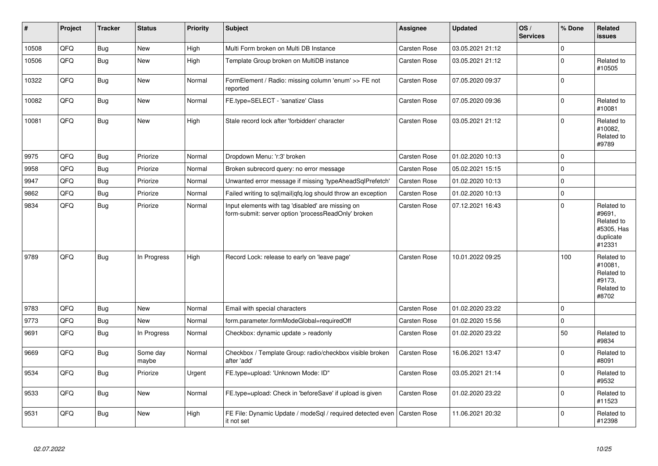| $\vert$ # | Project | <b>Tracker</b> | <b>Status</b>     | <b>Priority</b> | <b>Subject</b>                                                                                           | Assignee            | <b>Updated</b>   | OS/<br><b>Services</b> | % Done      | Related<br><b>issues</b>                                                |
|-----------|---------|----------------|-------------------|-----------------|----------------------------------------------------------------------------------------------------------|---------------------|------------------|------------------------|-------------|-------------------------------------------------------------------------|
| 10508     | QFQ     | Bug            | <b>New</b>        | High            | Multi Form broken on Multi DB Instance                                                                   | <b>Carsten Rose</b> | 03.05.2021 21:12 |                        | $\mathbf 0$ |                                                                         |
| 10506     | QFQ     | <b>Bug</b>     | <b>New</b>        | High            | Template Group broken on MultiDB instance                                                                | Carsten Rose        | 03.05.2021 21:12 |                        | $\mathbf 0$ | Related to<br>#10505                                                    |
| 10322     | QFQ     | Bug            | <b>New</b>        | Normal          | FormElement / Radio: missing column 'enum' >> FE not<br>reported                                         | Carsten Rose        | 07.05.2020 09:37 |                        | $\mathbf 0$ |                                                                         |
| 10082     | QFQ     | Bug            | <b>New</b>        | Normal          | FE.type=SELECT - 'sanatize' Class                                                                        | <b>Carsten Rose</b> | 07.05.2020 09:36 |                        | $\mathbf 0$ | Related to<br>#10081                                                    |
| 10081     | QFQ     | <b>Bug</b>     | New               | High            | Stale record lock after 'forbidden' character                                                            | Carsten Rose        | 03.05.2021 21:12 |                        | $\mathbf 0$ | Related to<br>#10082,<br>Related to<br>#9789                            |
| 9975      | QFQ     | Bug            | Priorize          | Normal          | Dropdown Menu: 'r:3' broken                                                                              | <b>Carsten Rose</b> | 01.02.2020 10:13 |                        | $\mathbf 0$ |                                                                         |
| 9958      | QFQ     | <b>Bug</b>     | Priorize          | Normal          | Broken subrecord query: no error message                                                                 | Carsten Rose        | 05.02.2021 15:15 |                        | $\mathbf 0$ |                                                                         |
| 9947      | QFQ     | <b>Bug</b>     | Priorize          | Normal          | Unwanted error message if missing 'typeAheadSqlPrefetch'                                                 | Carsten Rose        | 01.02.2020 10:13 |                        | $\mathbf 0$ |                                                                         |
| 9862      | QFQ     | Bug            | Priorize          | Normal          | Failed writing to sql mail qfq.log should throw an exception                                             | <b>Carsten Rose</b> | 01.02.2020 10:13 |                        | $\mathbf 0$ |                                                                         |
| 9834      | QFQ     | Bug            | Priorize          | Normal          | Input elements with tag 'disabled' are missing on<br>form-submit: server option 'processReadOnly' broken | Carsten Rose        | 07.12.2021 16:43 |                        | $\mathbf 0$ | Related to<br>#9691,<br>Related to<br>#5305, Has<br>duplicate<br>#12331 |
| 9789      | QFQ     | Bug            | In Progress       | High            | Record Lock: release to early on 'leave page'                                                            | <b>Carsten Rose</b> | 10.01.2022 09:25 |                        | 100         | Related to<br>#10081,<br>Related to<br>#9173,<br>Related to<br>#8702    |
| 9783      | QFQ     | Bug            | <b>New</b>        | Normal          | Email with special characters                                                                            | <b>Carsten Rose</b> | 01.02.2020 23:22 |                        | $\mathbf 0$ |                                                                         |
| 9773      | QFQ     | <b>Bug</b>     | New               | Normal          | form.parameter.formModeGlobal=requiredOff                                                                | Carsten Rose        | 01.02.2020 15:56 |                        | $\mathbf 0$ |                                                                         |
| 9691      | QFQ     | Bug            | In Progress       | Normal          | Checkbox: dynamic update > readonly                                                                      | Carsten Rose        | 01.02.2020 23:22 |                        | 50          | Related to<br>#9834                                                     |
| 9669      | QFQ     | Bug            | Some day<br>maybe | Normal          | Checkbox / Template Group: radio/checkbox visible broken<br>after 'add'                                  | Carsten Rose        | 16.06.2021 13:47 |                        | $\mathbf 0$ | Related to<br>#8091                                                     |
| 9534      | QFQ     | Bug            | Priorize          | Urgent          | FE.type=upload: 'Unknown Mode: ID"                                                                       | <b>Carsten Rose</b> | 03.05.2021 21:14 |                        | $\mathbf 0$ | Related to<br>#9532                                                     |
| 9533      | QFQ     | Bug            | <b>New</b>        | Normal          | FE.type=upload: Check in 'beforeSave' if upload is given                                                 | <b>Carsten Rose</b> | 01.02.2020 23:22 |                        | $\mathbf 0$ | Related to<br>#11523                                                    |
| 9531      | QFQ     | <b>Bug</b>     | <b>New</b>        | High            | FE File: Dynamic Update / modeSql / required detected even<br>it not set                                 | <b>Carsten Rose</b> | 11.06.2021 20:32 |                        | $\mathbf 0$ | Related to<br>#12398                                                    |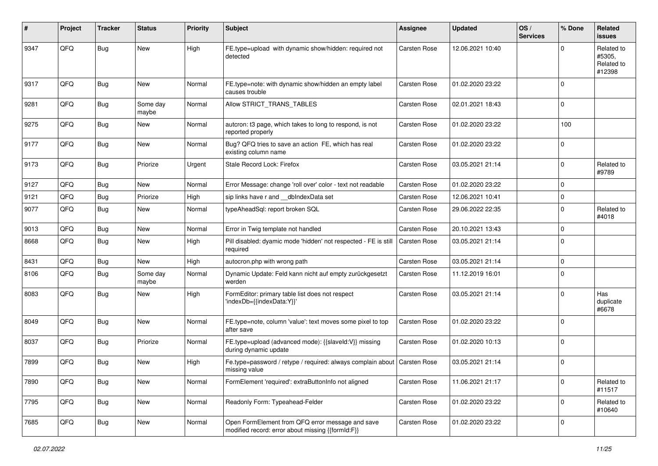| #    | Project | <b>Tracker</b> | <b>Status</b>     | <b>Priority</b> | <b>Subject</b>                                                                                        | <b>Assignee</b>     | <b>Updated</b>   | OS/<br><b>Services</b> | % Done      | <b>Related</b><br>issues                     |
|------|---------|----------------|-------------------|-----------------|-------------------------------------------------------------------------------------------------------|---------------------|------------------|------------------------|-------------|----------------------------------------------|
| 9347 | QFQ     | Bug            | <b>New</b>        | High            | FE.type=upload with dynamic show/hidden: required not<br>detected                                     | Carsten Rose        | 12.06.2021 10:40 |                        | U           | Related to<br>#5305,<br>Related to<br>#12398 |
| 9317 | QFQ     | <b>Bug</b>     | New               | Normal          | FE.type=note: with dynamic show/hidden an empty label<br>causes trouble                               | <b>Carsten Rose</b> | 01.02.2020 23:22 |                        | $\Omega$    |                                              |
| 9281 | QFQ     | Bug            | Some day<br>maybe | Normal          | Allow STRICT_TRANS_TABLES                                                                             | <b>Carsten Rose</b> | 02.01.2021 18:43 |                        | $\mathbf 0$ |                                              |
| 9275 | QFQ     | Bug            | <b>New</b>        | Normal          | autcron: t3 page, which takes to long to respond, is not<br>reported properly                         | <b>Carsten Rose</b> | 01.02.2020 23:22 |                        | 100         |                                              |
| 9177 | QFQ     | Bug            | <b>New</b>        | Normal          | Bug? QFQ tries to save an action FE, which has real<br>existing column name                           | Carsten Rose        | 01.02.2020 23:22 |                        | $\Omega$    |                                              |
| 9173 | QFQ     | Bug            | Priorize          | Urgent          | Stale Record Lock: Firefox                                                                            | <b>Carsten Rose</b> | 03.05.2021 21:14 |                        | $\Omega$    | Related to<br>#9789                          |
| 9127 | QFQ     | <b>Bug</b>     | New               | Normal          | Error Message: change 'roll over' color - text not readable                                           | <b>Carsten Rose</b> | 01.02.2020 23:22 |                        | $\mathbf 0$ |                                              |
| 9121 | QFQ     | <b>Bug</b>     | Priorize          | High            | sip links have r and __dbIndexData set                                                                | <b>Carsten Rose</b> | 12.06.2021 10:41 |                        | $\Omega$    |                                              |
| 9077 | QFQ     | <b>Bug</b>     | New               | Normal          | typeAheadSql: report broken SQL                                                                       | Carsten Rose        | 29.06.2022 22:35 |                        | $\Omega$    | Related to<br>#4018                          |
| 9013 | QFQ     | <b>Bug</b>     | New               | Normal          | Error in Twig template not handled                                                                    | Carsten Rose        | 20.10.2021 13:43 |                        | 0           |                                              |
| 8668 | QFQ     | Bug            | <b>New</b>        | High            | Pill disabled: dyamic mode 'hidden' not respected - FE is still<br>required                           | <b>Carsten Rose</b> | 03.05.2021 21:14 |                        | $\Omega$    |                                              |
| 8431 | QFQ     | <b>Bug</b>     | <b>New</b>        | High            | autocron.php with wrong path                                                                          | <b>Carsten Rose</b> | 03.05.2021 21:14 |                        | $\Omega$    |                                              |
| 8106 | QFQ     | <b>Bug</b>     | Some day<br>maybe | Normal          | Dynamic Update: Feld kann nicht auf empty zurückgesetzt<br>werden                                     | Carsten Rose        | 11.12.2019 16:01 |                        | $\mathbf 0$ |                                              |
| 8083 | QFQ     | Bug            | New               | High            | FormEditor: primary table list does not respect<br>'indexDb={{indexData:Y}}'                          | Carsten Rose        | 03.05.2021 21:14 |                        | $\Omega$    | Has<br>duplicate<br>#6678                    |
| 8049 | QFQ     | Bug            | New               | Normal          | FE.type=note, column 'value': text moves some pixel to top<br>after save                              | Carsten Rose        | 01.02.2020 23:22 |                        | $\mathbf 0$ |                                              |
| 8037 | QFQ     | <b>Bug</b>     | Priorize          | Normal          | FE.type=upload (advanced mode): {{slaveld:V}} missing<br>during dynamic update                        | Carsten Rose        | 01.02.2020 10:13 |                        | $\Omega$    |                                              |
| 7899 | QFQ     | Bug            | New               | High            | Fe.type=password / retype / required: always complain about   Carsten Rose<br>missing value           |                     | 03.05.2021 21:14 |                        | $\Omega$    |                                              |
| 7890 | QFQ     | Bug            | New               | Normal          | FormElement 'required': extraButtonInfo not aligned                                                   | Carsten Rose        | 11.06.2021 21:17 |                        | $\mathbf 0$ | Related to<br>#11517                         |
| 7795 | QFQ     | Bug            | New               | Normal          | Readonly Form: Typeahead-Felder                                                                       | Carsten Rose        | 01.02.2020 23:22 |                        | $\mathbf 0$ | Related to<br>#10640                         |
| 7685 | QFQ     | Bug            | New               | Normal          | Open FormElement from QFQ error message and save<br>modified record: error about missing {{formId:F}} | Carsten Rose        | 01.02.2020 23:22 |                        | $\mathbf 0$ |                                              |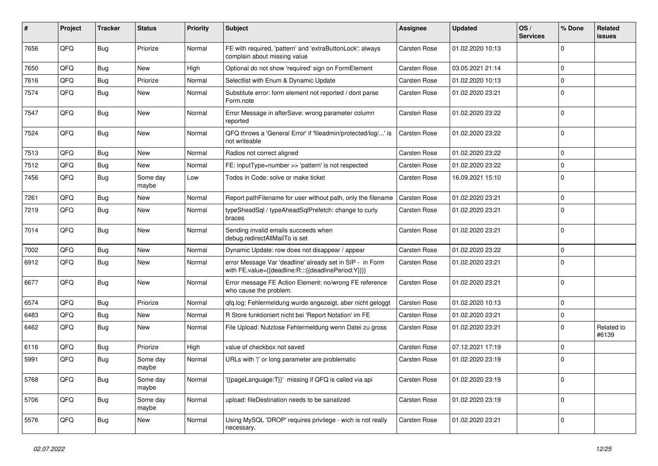| #    | Project | <b>Tracker</b> | <b>Status</b>     | <b>Priority</b> | <b>Subject</b>                                                                                                   | <b>Assignee</b>     | <b>Updated</b>   | OS/<br><b>Services</b> | % Done              | Related<br>issues   |
|------|---------|----------------|-------------------|-----------------|------------------------------------------------------------------------------------------------------------------|---------------------|------------------|------------------------|---------------------|---------------------|
| 7656 | QFQ     | Bug            | Priorize          | Normal          | FE with required, 'pattern' and 'extraButtonLock': always<br>complain about missing value                        | Carsten Rose        | 01.02.2020 10:13 |                        | 0                   |                     |
| 7650 | QFQ     | Bug            | New               | High            | Optional do not show 'required' sign on FormElement                                                              | <b>Carsten Rose</b> | 03.05.2021 21:14 |                        | $\mathbf 0$         |                     |
| 7616 | QFQ     | <b>Bug</b>     | Priorize          | Normal          | Selectlist with Enum & Dynamic Update                                                                            | <b>Carsten Rose</b> | 01.02.2020 10:13 |                        | 0                   |                     |
| 7574 | QFQ     | Bug            | New               | Normal          | Substitute error: form element not reported / dont parse<br>Form.note                                            | <b>Carsten Rose</b> | 01.02.2020 23:21 |                        | 0                   |                     |
| 7547 | QFQ     | Bug            | New               | Normal          | Error Message in afterSave: wrong parameter column<br>reported                                                   | <b>Carsten Rose</b> | 01.02.2020 23:22 |                        | $\mathbf 0$         |                     |
| 7524 | QFQ     | <b>Bug</b>     | <b>New</b>        | Normal          | QFQ throws a 'General Error' if 'fileadmin/protected/log/' is<br>not writeable                                   | <b>Carsten Rose</b> | 01.02.2020 23:22 |                        | $\mathbf 0$         |                     |
| 7513 | QFQ     | Bug            | <b>New</b>        | Normal          | Radios not correct aligned                                                                                       | <b>Carsten Rose</b> | 01.02.2020 23:22 |                        | $\mathbf 0$         |                     |
| 7512 | QFQ     | <b>Bug</b>     | New               | Normal          | FE: inputType=number >> 'pattern' is not respected                                                               | <b>Carsten Rose</b> | 01.02.2020 23:22 |                        | 0                   |                     |
| 7456 | QFQ     | <b>Bug</b>     | Some day<br>maybe | Low             | Todos in Code: solve or make ticket                                                                              | <b>Carsten Rose</b> | 16.09.2021 15:10 |                        | $\Omega$            |                     |
| 7261 | QFQ     | Bug            | <b>New</b>        | Normal          | Report pathFilename for user without path, only the filename                                                     | <b>Carsten Rose</b> | 01.02.2020 23:21 |                        | $\mathbf{0}$        |                     |
| 7219 | QFQ     | Bug            | New               | Normal          | typeSheadSql / typeAheadSqlPrefetch: change to curly<br>braces                                                   | <b>Carsten Rose</b> | 01.02.2020 23:21 |                        | $\mathbf 0$         |                     |
| 7014 | QFQ     | Bug            | New               | Normal          | Sending invalid emails succeeds when<br>debug.redirectAllMailTo is set                                           | <b>Carsten Rose</b> | 01.02.2020 23:21 |                        | $\Omega$            |                     |
| 7002 | QFQ     | Bug            | New               | Normal          | Dynamic Update: row does not disappear / appear                                                                  | <b>Carsten Rose</b> | 01.02.2020 23:22 |                        | 0                   |                     |
| 6912 | QFQ     | Bug            | New               | Normal          | error Message Var 'deadline' already set in SIP - in Form<br>with FE.value={{deadline:R:::{{deadlinePeriod:Y}}}} | <b>Carsten Rose</b> | 01.02.2020 23:21 |                        | $\Omega$            |                     |
| 6677 | QFQ     | <b>Bug</b>     | New               | Normal          | Error message FE Action Element: no/wrong FE reference<br>who cause the problem.                                 | <b>Carsten Rose</b> | 01.02.2020 23:21 |                        | $\mathbf 0$         |                     |
| 6574 | QFQ     | Bug            | Priorize          | Normal          | qfq.log: Fehlermeldung wurde angezeigt, aber nicht geloggt                                                       | <b>Carsten Rose</b> | 01.02.2020 10:13 |                        | $\mathbf 0$         |                     |
| 6483 | QFQ     | Bug            | New               | Normal          | R Store funktioniert nicht bei 'Report Notation' im FE                                                           | <b>Carsten Rose</b> | 01.02.2020 23:21 |                        | $\mathbf 0$         |                     |
| 6462 | QFQ     | <b>Bug</b>     | New               | Normal          | File Upload: Nutzlose Fehlermeldung wenn Datei zu gross                                                          | <b>Carsten Rose</b> | 01.02.2020 23:21 |                        | $\Omega$            | Related to<br>#6139 |
| 6116 | QFQ     | Bug            | Priorize          | High            | value of checkbox not saved                                                                                      | <b>Carsten Rose</b> | 07.12.2021 17:19 |                        | $\mathbf 0$         |                     |
| 5991 | QFQ     | <b>Bug</b>     | Some day<br>maybe | Normal          | URLs with ' ' or long parameter are problematic                                                                  | <b>Carsten Rose</b> | 01.02.2020 23:19 |                        | $\mathbf 0$         |                     |
| 5768 | QFQ     | <b>Bug</b>     | Some day<br>maybe | Normal          | '{{pageLanguage:T}}' missing if QFQ is called via api                                                            | Carsten Rose        | 01.02.2020 23:19 |                        | $\mathsf{O}\xspace$ |                     |
| 5706 | QFQ     | <b>Bug</b>     | Some day<br>maybe | Normal          | upload: fileDestination needs to be sanatized                                                                    | Carsten Rose        | 01.02.2020 23:19 |                        | $\mathbf 0$         |                     |
| 5576 | QFQ     | <b>Bug</b>     | New               | Normal          | Using MySQL 'DROP' requires privilege - wich is not really<br>necessary.                                         | Carsten Rose        | 01.02.2020 23:21 |                        | $\mathbf 0$         |                     |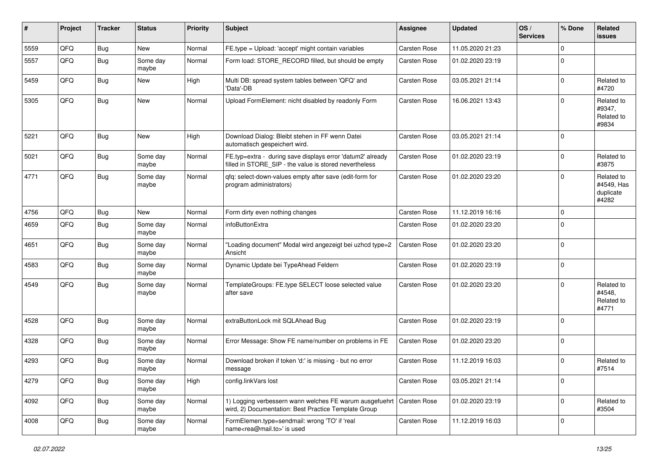| $\sharp$ | Project | <b>Tracker</b> | <b>Status</b>     | <b>Priority</b> | <b>Subject</b>                                                                                                       | <b>Assignee</b>     | <b>Updated</b>   | OS/<br><b>Services</b> | % Done      | Related<br><b>issues</b>                       |
|----------|---------|----------------|-------------------|-----------------|----------------------------------------------------------------------------------------------------------------------|---------------------|------------------|------------------------|-------------|------------------------------------------------|
| 5559     | QFQ     | Bug            | New               | Normal          | FE.type = Upload: 'accept' might contain variables                                                                   | Carsten Rose        | 11.05.2020 21:23 |                        | $\Omega$    |                                                |
| 5557     | QFQ     | Bug            | Some day<br>maybe | Normal          | Form load: STORE_RECORD filled, but should be empty                                                                  | <b>Carsten Rose</b> | 01.02.2020 23:19 |                        | $\Omega$    |                                                |
| 5459     | QFQ     | Bug            | New               | High            | Multi DB: spread system tables between 'QFQ' and<br>'Data'-DB                                                        | <b>Carsten Rose</b> | 03.05.2021 21:14 |                        | $\mathbf 0$ | Related to<br>#4720                            |
| 5305     | QFQ     | Bug            | <b>New</b>        | Normal          | Upload FormElement: nicht disabled by readonly Form                                                                  | <b>Carsten Rose</b> | 16.06.2021 13:43 |                        | $\Omega$    | Related to<br>#9347,<br>Related to<br>#9834    |
| 5221     | QFQ     | Bug            | New               | High            | Download Dialog: Bleibt stehen in FF wenn Datei<br>automatisch gespeichert wird.                                     | <b>Carsten Rose</b> | 03.05.2021 21:14 |                        | 0           |                                                |
| 5021     | QFQ     | <b>Bug</b>     | Some day<br>maybe | Normal          | FE.typ=extra - during save displays error 'datum2' already<br>filled in STORE_SIP - the value is stored nevertheless | <b>Carsten Rose</b> | 01.02.2020 23:19 |                        | $\mathbf 0$ | Related to<br>#3875                            |
| 4771     | QFQ     | Bug            | Some day<br>maybe | Normal          | qfq: select-down-values empty after save (edit-form for<br>program administrators)                                   | <b>Carsten Rose</b> | 01.02.2020 23:20 |                        | $\Omega$    | Related to<br>#4549, Has<br>duplicate<br>#4282 |
| 4756     | QFQ     | Bug            | New               | Normal          | Form dirty even nothing changes                                                                                      | <b>Carsten Rose</b> | 11.12.2019 16:16 |                        | $\mathbf 0$ |                                                |
| 4659     | QFQ     | <b>Bug</b>     | Some day<br>maybe | Normal          | infoButtonExtra                                                                                                      | <b>Carsten Rose</b> | 01.02.2020 23:20 |                        | $\Omega$    |                                                |
| 4651     | QFQ     | Bug            | Some day<br>maybe | Normal          | 'Loading document" Modal wird angezeigt bei uzhcd type=2<br>Ansicht                                                  | <b>Carsten Rose</b> | 01.02.2020 23:20 |                        | 0           |                                                |
| 4583     | QFQ     | Bug            | Some day<br>maybe | Normal          | Dynamic Update bei TypeAhead Feldern                                                                                 | <b>Carsten Rose</b> | 01.02.2020 23:19 |                        | 0           |                                                |
| 4549     | QFQ     | Bug            | Some day<br>maybe | Normal          | TemplateGroups: FE.type SELECT loose selected value<br>after save                                                    | <b>Carsten Rose</b> | 01.02.2020 23:20 |                        | $\Omega$    | Related to<br>#4548.<br>Related to<br>#4771    |
| 4528     | QFQ     | Bug            | Some day<br>maybe | Normal          | extraButtonLock mit SQLAhead Bug                                                                                     | <b>Carsten Rose</b> | 01.02.2020 23:19 |                        | 0           |                                                |
| 4328     | QFQ     | <b>Bug</b>     | Some day<br>maybe | Normal          | Error Message: Show FE name/number on problems in FE                                                                 | Carsten Rose        | 01.02.2020 23:20 |                        | 0           |                                                |
| 4293     | QFQ     | <b>Bug</b>     | Some day<br>maybe | Normal          | Download broken if token 'd:' is missing - but no error<br>message                                                   | <b>Carsten Rose</b> | 11.12.2019 16:03 |                        | $\Omega$    | Related to<br>#7514                            |
| 4279     | QFQ     | <b>Bug</b>     | Some day<br>maybe | High            | config.linkVars lost                                                                                                 | Carsten Rose        | 03.05.2021 21:14 |                        | 0           |                                                |
| 4092     | QFQ     | <b>Bug</b>     | Some day<br>maybe | Normal          | 1) Logging verbessern wann welches FE warum ausgefuehrt<br>wird, 2) Documentation: Best Practice Template Group      | <b>Carsten Rose</b> | 01.02.2020 23:19 |                        | 0           | Related to<br>#3504                            |
| 4008     | QFQ     | <b>Bug</b>     | Some day<br>maybe | Normal          | FormElemen.type=sendmail: wrong 'TO' if 'real<br>name <rea@mail.to>' is used</rea@mail.to>                           | Carsten Rose        | 11.12.2019 16:03 |                        | $\mathbf 0$ |                                                |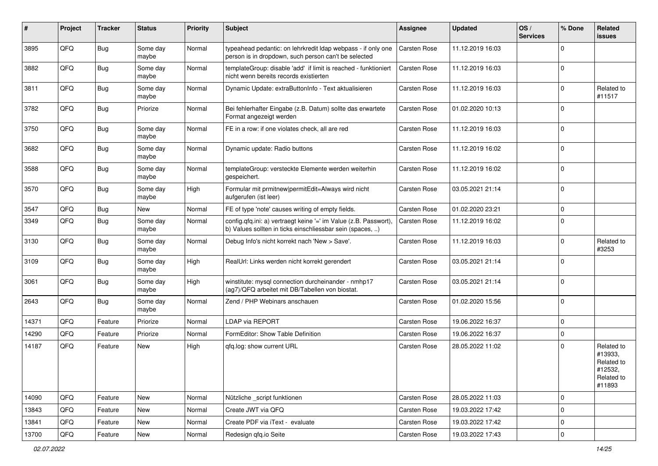| ∦     | Project | <b>Tracker</b> | <b>Status</b>     | <b>Priority</b> | Subject                                                                                                                       | Assignee            | <b>Updated</b>   | OS/<br><b>Services</b> | % Done      | Related<br>issues                                                      |
|-------|---------|----------------|-------------------|-----------------|-------------------------------------------------------------------------------------------------------------------------------|---------------------|------------------|------------------------|-------------|------------------------------------------------------------------------|
| 3895  | QFQ     | Bug            | Some day<br>maybe | Normal          | typeahead pedantic: on lehrkredit Idap webpass - if only one<br>person is in dropdown, such person can't be selected          | <b>Carsten Rose</b> | 11.12.2019 16:03 |                        | $\Omega$    |                                                                        |
| 3882  | QFQ     | Bug            | Some day<br>maybe | Normal          | templateGroup: disable 'add' if limit is reached - funktioniert<br>nicht wenn bereits records existierten                     | <b>Carsten Rose</b> | 11.12.2019 16:03 |                        | $\Omega$    |                                                                        |
| 3811  | QFQ     | Bug            | Some day<br>maybe | Normal          | Dynamic Update: extraButtonInfo - Text aktualisieren                                                                          | <b>Carsten Rose</b> | 11.12.2019 16:03 |                        | $\Omega$    | Related to<br>#11517                                                   |
| 3782  | QFQ     | Bug            | Priorize          | Normal          | Bei fehlerhafter Eingabe (z.B. Datum) sollte das erwartete<br>Format angezeigt werden                                         | <b>Carsten Rose</b> | 01.02.2020 10:13 |                        | $\Omega$    |                                                                        |
| 3750  | QFQ     | <b>Bug</b>     | Some day<br>maybe | Normal          | FE in a row: if one violates check, all are red                                                                               | <b>Carsten Rose</b> | 11.12.2019 16:03 |                        | $\Omega$    |                                                                        |
| 3682  | QFQ     | Bug            | Some day<br>maybe | Normal          | Dynamic update: Radio buttons                                                                                                 | Carsten Rose        | 11.12.2019 16:02 |                        | $\Omega$    |                                                                        |
| 3588  | QFQ     | Bug            | Some day<br>maybe | Normal          | templateGroup: versteckte Elemente werden weiterhin<br>gespeichert.                                                           | Carsten Rose        | 11.12.2019 16:02 |                        | $\Omega$    |                                                                        |
| 3570  | QFQ     | Bug            | Some day<br>maybe | High            | Formular mit prmitnew permitEdit=Always wird nicht<br>aufgerufen (ist leer)                                                   | Carsten Rose        | 03.05.2021 21:14 |                        | $\mathbf 0$ |                                                                        |
| 3547  | QFQ     | <b>Bug</b>     | New               | Normal          | FE of type 'note' causes writing of empty fields.                                                                             | Carsten Rose        | 01.02.2020 23:21 |                        | $\mathbf 0$ |                                                                        |
| 3349  | QFQ     | Bug            | Some day<br>maybe | Normal          | config.qfq.ini: a) vertraegt keine '=' im Value (z.B. Passwort),<br>b) Values sollten in ticks einschliessbar sein (spaces, ) | <b>Carsten Rose</b> | 11.12.2019 16:02 |                        | $\Omega$    |                                                                        |
| 3130  | QFQ     | Bug            | Some day<br>maybe | Normal          | Debug Info's nicht korrekt nach 'New > Save'.                                                                                 | <b>Carsten Rose</b> | 11.12.2019 16:03 |                        | $\Omega$    | Related to<br>#3253                                                    |
| 3109  | QFQ     | Bug            | Some day<br>maybe | High            | RealUrl: Links werden nicht korrekt gerendert                                                                                 | Carsten Rose        | 03.05.2021 21:14 |                        | $\Omega$    |                                                                        |
| 3061  | QFQ     | <b>Bug</b>     | Some day<br>maybe | High            | winstitute: mysql connection durcheinander - nmhp17<br>(ag7)/QFQ arbeitet mit DB/Tabellen von biostat.                        | <b>Carsten Rose</b> | 03.05.2021 21:14 |                        | $\mathbf 0$ |                                                                        |
| 2643  | QFQ     | Bug            | Some day<br>maybe | Normal          | Zend / PHP Webinars anschauen                                                                                                 | <b>Carsten Rose</b> | 01.02.2020 15:56 |                        | $\mathbf 0$ |                                                                        |
| 14371 | QFQ     | Feature        | Priorize          | Normal          | <b>LDAP via REPORT</b>                                                                                                        | <b>Carsten Rose</b> | 19.06.2022 16:37 |                        | $\mathbf 0$ |                                                                        |
| 14290 | QFQ     | Feature        | Priorize          | Normal          | FormEditor: Show Table Definition                                                                                             | <b>Carsten Rose</b> | 19.06.2022 16:37 |                        | $\Omega$    |                                                                        |
| 14187 | QFQ     | Feature        | New               | High            | qfq.log: show current URL                                                                                                     | Carsten Rose        | 28.05.2022 11:02 |                        | $\Omega$    | Related to<br>#13933,<br>Related to<br>#12532,<br>Related to<br>#11893 |
| 14090 | QFQ     | Feature        | <b>New</b>        | Normal          | Nützliche _script funktionen                                                                                                  | Carsten Rose        | 28.05.2022 11:03 |                        | 0           |                                                                        |
| 13843 | QFQ     | Feature        | New               | Normal          | Create JWT via QFQ                                                                                                            | Carsten Rose        | 19.03.2022 17:42 |                        | $\mathbf 0$ |                                                                        |
| 13841 | QFQ     | Feature        | New               | Normal          | Create PDF via iText - evaluate                                                                                               | Carsten Rose        | 19.03.2022 17:42 |                        | 0           |                                                                        |
| 13700 | QFQ     | Feature        | <b>New</b>        | Normal          | Redesign qfq.io Seite                                                                                                         | Carsten Rose        | 19.03.2022 17:43 |                        | 0           |                                                                        |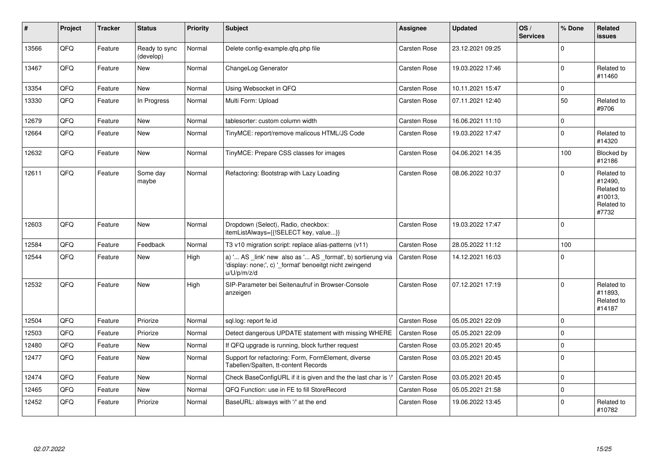| $\vert$ # | Project | <b>Tracker</b> | <b>Status</b>              | <b>Priority</b> | <b>Subject</b>                                                                                                                        | Assignee            | <b>Updated</b>   | OS/<br><b>Services</b> | % Done       | Related<br>issues                                                     |
|-----------|---------|----------------|----------------------------|-----------------|---------------------------------------------------------------------------------------------------------------------------------------|---------------------|------------------|------------------------|--------------|-----------------------------------------------------------------------|
| 13566     | QFQ     | Feature        | Ready to sync<br>(develop) | Normal          | Delete config-example.gfg.php file                                                                                                    | Carsten Rose        | 23.12.2021 09:25 |                        | $\Omega$     |                                                                       |
| 13467     | QFQ     | Feature        | <b>New</b>                 | Normal          | ChangeLog Generator                                                                                                                   | Carsten Rose        | 19.03.2022 17:46 |                        | $\Omega$     | Related to<br>#11460                                                  |
| 13354     | QFQ     | Feature        | <b>New</b>                 | Normal          | Using Websocket in QFQ                                                                                                                | <b>Carsten Rose</b> | 10.11.2021 15:47 |                        | $\mathbf{0}$ |                                                                       |
| 13330     | QFQ     | Feature        | In Progress                | Normal          | Multi Form: Upload                                                                                                                    | <b>Carsten Rose</b> | 07.11.2021 12:40 |                        | 50           | Related to<br>#9706                                                   |
| 12679     | QFQ     | Feature        | <b>New</b>                 | Normal          | tablesorter: custom column width                                                                                                      | Carsten Rose        | 16.06.2021 11:10 |                        | $\Omega$     |                                                                       |
| 12664     | QFQ     | Feature        | <b>New</b>                 | Normal          | TinyMCE: report/remove malicous HTML/JS Code                                                                                          | <b>Carsten Rose</b> | 19.03.2022 17:47 |                        | $\Omega$     | Related to<br>#14320                                                  |
| 12632     | QFQ     | Feature        | <b>New</b>                 | Normal          | TinyMCE: Prepare CSS classes for images                                                                                               | <b>Carsten Rose</b> | 04.06.2021 14:35 |                        | 100          | Blocked by<br>#12186                                                  |
| 12611     | QFQ     | Feature        | Some day<br>maybe          | Normal          | Refactoring: Bootstrap with Lazy Loading                                                                                              | Carsten Rose        | 08.06.2022 10:37 |                        | $\Omega$     | Related to<br>#12490,<br>Related to<br>#10013,<br>Related to<br>#7732 |
| 12603     | QFQ     | Feature        | <b>New</b>                 | Normal          | Dropdown (Select), Radio, checkbox:<br>itemListAlways={{!SELECT key, value}}                                                          | <b>Carsten Rose</b> | 19.03.2022 17:47 |                        | $\mathbf 0$  |                                                                       |
| 12584     | QFQ     | Feature        | Feedback                   | Normal          | T3 v10 migration script: replace alias-patterns (v11)                                                                                 | Carsten Rose        | 28.05.2022 11:12 |                        | 100          |                                                                       |
| 12544     | QFQ     | Feature        | <b>New</b>                 | High            | a) ' AS _link' new also as ' AS _format', b) sortierung via<br>'display: none;', c) ' format' benoeitgt nicht zwingend<br>u/U/p/m/z/d | Carsten Rose        | 14.12.2021 16:03 |                        | $\Omega$     |                                                                       |
| 12532     | QFQ     | Feature        | <b>New</b>                 | High            | SIP-Parameter bei Seitenaufruf in Browser-Console<br>anzeigen                                                                         | Carsten Rose        | 07.12.2021 17:19 |                        | $\mathbf 0$  | Related to<br>#11893.<br>Related to<br>#14187                         |
| 12504     | QFQ     | Feature        | Priorize                   | Normal          | sql.log: report fe.id                                                                                                                 | Carsten Rose        | 05.05.2021 22:09 |                        | $\mathbf 0$  |                                                                       |
| 12503     | QFQ     | Feature        | Priorize                   | Normal          | Detect dangerous UPDATE statement with missing WHERE                                                                                  | Carsten Rose        | 05.05.2021 22:09 |                        | $\mathbf 0$  |                                                                       |
| 12480     | QFQ     | Feature        | <b>New</b>                 | Normal          | If QFQ upgrade is running, block further request                                                                                      | Carsten Rose        | 03.05.2021 20:45 |                        | $\mathbf 0$  |                                                                       |
| 12477     | QFQ     | Feature        | <b>New</b>                 | Normal          | Support for refactoring: Form, FormElement, diverse<br>Tabellen/Spalten, tt-content Records                                           | <b>Carsten Rose</b> | 03.05.2021 20:45 |                        | $\Omega$     |                                                                       |
| 12474     | QFQ     | Feature        | <b>New</b>                 | Normal          | Check BaseConfigURL if it is given and the the last char is '/'                                                                       | <b>Carsten Rose</b> | 03.05.2021 20:45 |                        | $\mathbf 0$  |                                                                       |
| 12465     | QFQ     | Feature        | <b>New</b>                 | Normal          | QFQ Function: use in FE to fill StoreRecord                                                                                           | <b>Carsten Rose</b> | 05.05.2021 21:58 |                        | $\mathbf 0$  |                                                                       |
| 12452     | QFQ     | Feature        | Priorize                   | Normal          | BaseURL: alsways with '/' at the end                                                                                                  | Carsten Rose        | 19.06.2022 13:45 |                        | $\Omega$     | Related to<br>#10782                                                  |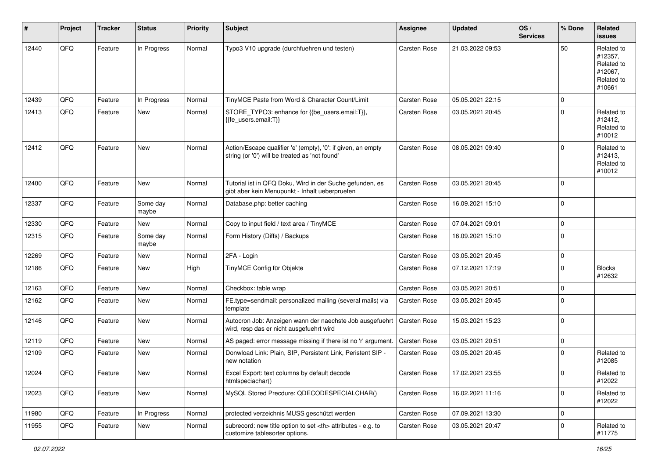| #     | Project | <b>Tracker</b> | <b>Status</b>     | <b>Priority</b> | <b>Subject</b>                                                                                                 | Assignee                                               | <b>Updated</b>   | OS/<br><b>Services</b> | % Done      | Related<br><b>issues</b>                                               |                      |
|-------|---------|----------------|-------------------|-----------------|----------------------------------------------------------------------------------------------------------------|--------------------------------------------------------|------------------|------------------------|-------------|------------------------------------------------------------------------|----------------------|
| 12440 | QFQ     | Feature        | In Progress       | Normal          | Typo3 V10 upgrade (durchfuehren und testen)                                                                    | <b>Carsten Rose</b>                                    | 21.03.2022 09:53 |                        | 50          | Related to<br>#12357,<br>Related to<br>#12067,<br>Related to<br>#10661 |                      |
| 12439 | QFQ     | Feature        | In Progress       | Normal          | TinyMCE Paste from Word & Character Count/Limit                                                                | <b>Carsten Rose</b>                                    | 05.05.2021 22:15 |                        | $\mathbf 0$ |                                                                        |                      |
| 12413 | QFQ     | Feature        | New               | Normal          | STORE_TYPO3: enhance for {{be_users.email:T}},<br>{{fe_users.email:T}}                                         | Carsten Rose                                           | 03.05.2021 20:45 |                        | $\Omega$    | Related to<br>#12412,<br>Related to<br>#10012                          |                      |
| 12412 | QFQ     | Feature        | New               | Normal          | Action/Escape qualifier 'e' (empty), '0': if given, an empty<br>string (or '0') will be treated as 'not found' | <b>Carsten Rose</b>                                    | 08.05.2021 09:40 |                        | $\Omega$    | Related to<br>#12413,<br>Related to<br>#10012                          |                      |
| 12400 | QFQ     | Feature        | New               | Normal          | Tutorial ist in QFQ Doku, Wird in der Suche gefunden, es<br>gibt aber kein Menupunkt - Inhalt ueberpruefen     | Carsten Rose                                           | 03.05.2021 20:45 |                        | $\mathbf 0$ |                                                                        |                      |
| 12337 | QFQ     | Feature        | Some day<br>maybe | Normal          | Database.php: better caching                                                                                   | Carsten Rose                                           | 16.09.2021 15:10 |                        | $\mathbf 0$ |                                                                        |                      |
| 12330 | QFQ     | Feature        | New               | Normal          | Copy to input field / text area / TinyMCE                                                                      | <b>Carsten Rose</b>                                    | 07.04.2021 09:01 |                        | $\mathbf 0$ |                                                                        |                      |
| 12315 | QFQ     | Feature        | Some day<br>maybe | Normal          | Form History (Diffs) / Backups                                                                                 | Carsten Rose                                           | 16.09.2021 15:10 |                        | $\mathbf 0$ |                                                                        |                      |
| 12269 | QFQ     | Feature        | New               | Normal          | 2FA - Login                                                                                                    | <b>Carsten Rose</b>                                    | 03.05.2021 20:45 |                        | $\mathbf 0$ |                                                                        |                      |
| 12186 | QFQ     | Feature        | New               | High            | TinyMCE Config für Objekte                                                                                     | Carsten Rose                                           | 07.12.2021 17:19 |                        | $\Omega$    | <b>Blocks</b><br>#12632                                                |                      |
| 12163 | QFQ     | Feature        | New               | Normal          | Checkbox: table wrap                                                                                           | <b>Carsten Rose</b>                                    | 03.05.2021 20:51 |                        | $\mathbf 0$ |                                                                        |                      |
| 12162 | QFQ     | Feature        | New               | Normal          | FE.type=sendmail: personalized mailing (several mails) via<br>template                                         | Carsten Rose                                           | 03.05.2021 20:45 |                        | $\mathbf 0$ |                                                                        |                      |
| 12146 | QFQ     | Feature        | New               | Normal          | Autocron Job: Anzeigen wann der naechste Job ausgefuehrt<br>wird, resp das er nicht ausgefuehrt wird           | <b>Carsten Rose</b>                                    | 15.03.2021 15:23 |                        | $\mathbf 0$ |                                                                        |                      |
| 12119 | QFQ     | Feature        | New               | Normal          | AS paged: error message missing if there ist no 'r' argument.                                                  | Carsten Rose                                           | 03.05.2021 20:51 |                        | $\mathbf 0$ |                                                                        |                      |
| 12109 | QFQ     | Feature        | New               | Normal          | Donwload Link: Plain, SIP, Persistent Link, Peristent SIP -<br>new notation                                    | Carsten Rose                                           | 03.05.2021 20:45 |                        | $\Omega$    | Related to<br>#12085                                                   |                      |
| 12024 | QFG     | Feature        | New               | Normal          | Excel Export: text columns by default decode<br>htmlspeciachar()                                               | Carsten Rose                                           | 17.02.2021 23:55 |                        | $\pmb{0}$   | Related to<br>#12022                                                   |                      |
| 12023 | QFQ     | Feature        | New               | Normal          | MySQL Stored Precdure: QDECODESPECIALCHAR()                                                                    | Carsten Rose                                           | 16.02.2021 11:16 |                        | $\mathbf 0$ | Related to<br>#12022                                                   |                      |
| 11980 | QFQ     | Feature        | In Progress       | Normal          | protected verzeichnis MUSS geschützt werden                                                                    | Carsten Rose                                           | 07.09.2021 13:30 |                        | $\mathbf 0$ |                                                                        |                      |
| 11955 | QFQ     | Feature        | New               | Normal          | subrecord: new title option to set <th> attributes - e.g. to<br/>customize tablesorter options.</th>           | attributes - e.g. to<br>customize tablesorter options. | Carsten Rose     | 03.05.2021 20:47       |             | $\mathbf 0$                                                            | Related to<br>#11775 |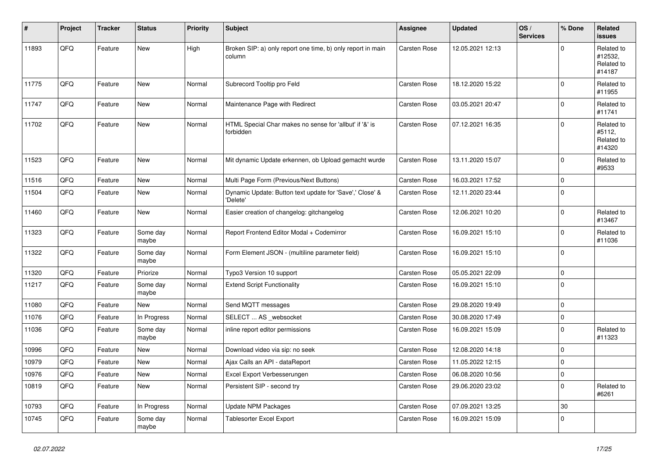| $\sharp$ | Project | <b>Tracker</b> | <b>Status</b>     | <b>Priority</b> | <b>Subject</b>                                                        | Assignee     | <b>Updated</b>   | OS/<br><b>Services</b> | % Done      | Related<br>issues                             |
|----------|---------|----------------|-------------------|-----------------|-----------------------------------------------------------------------|--------------|------------------|------------------------|-------------|-----------------------------------------------|
| 11893    | QFQ     | Feature        | New               | High            | Broken SIP: a) only report one time, b) only report in main<br>column | Carsten Rose | 12.05.2021 12:13 |                        | $\Omega$    | Related to<br>#12532,<br>Related to<br>#14187 |
| 11775    | QFQ     | Feature        | <b>New</b>        | Normal          | Subrecord Tooltip pro Feld                                            | Carsten Rose | 18.12.2020 15:22 |                        | $\mathbf 0$ | Related to<br>#11955                          |
| 11747    | QFQ     | Feature        | New               | Normal          | Maintenance Page with Redirect                                        | Carsten Rose | 03.05.2021 20:47 |                        | $\mathbf 0$ | Related to<br>#11741                          |
| 11702    | QFQ     | Feature        | <b>New</b>        | Normal          | HTML Special Char makes no sense for 'allbut' if '&' is<br>forbidden  | Carsten Rose | 07.12.2021 16:35 |                        | $\Omega$    | Related to<br>#5112,<br>Related to<br>#14320  |
| 11523    | QFQ     | Feature        | <b>New</b>        | Normal          | Mit dynamic Update erkennen, ob Upload gemacht wurde                  | Carsten Rose | 13.11.2020 15:07 |                        | $\Omega$    | Related to<br>#9533                           |
| 11516    | QFQ     | Feature        | <b>New</b>        | Normal          | Multi Page Form (Previous/Next Buttons)                               | Carsten Rose | 16.03.2021 17:52 |                        | $\Omega$    |                                               |
| 11504    | QFQ     | Feature        | New               | Normal          | Dynamic Update: Button text update for 'Save',' Close' &<br>'Delete'  | Carsten Rose | 12.11.2020 23:44 |                        | $\Omega$    |                                               |
| 11460    | QFQ     | Feature        | <b>New</b>        | Normal          | Easier creation of changelog: gitchangelog                            | Carsten Rose | 12.06.2021 10:20 |                        | $\mathbf 0$ | Related to<br>#13467                          |
| 11323    | QFG     | Feature        | Some day<br>maybe | Normal          | Report Frontend Editor Modal + Codemirror                             | Carsten Rose | 16.09.2021 15:10 |                        | $\mathbf 0$ | Related to<br>#11036                          |
| 11322    | QFQ     | Feature        | Some day<br>maybe | Normal          | Form Element JSON - (multiline parameter field)                       | Carsten Rose | 16.09.2021 15:10 |                        | $\mathbf 0$ |                                               |
| 11320    | QFQ     | Feature        | Priorize          | Normal          | Typo3 Version 10 support                                              | Carsten Rose | 05.05.2021 22:09 |                        | $\mathbf 0$ |                                               |
| 11217    | QFQ     | Feature        | Some day<br>maybe | Normal          | <b>Extend Script Functionality</b>                                    | Carsten Rose | 16.09.2021 15:10 |                        | $\mathbf 0$ |                                               |
| 11080    | QFQ     | Feature        | <b>New</b>        | Normal          | Send MQTT messages                                                    | Carsten Rose | 29.08.2020 19:49 |                        | $\mathbf 0$ |                                               |
| 11076    | QFQ     | Feature        | In Progress       | Normal          | SELECT  AS _websocket                                                 | Carsten Rose | 30.08.2020 17:49 |                        | $\pmb{0}$   |                                               |
| 11036    | QFQ     | Feature        | Some day<br>maybe | Normal          | inline report editor permissions                                      | Carsten Rose | 16.09.2021 15:09 |                        | $\Omega$    | Related to<br>#11323                          |
| 10996    | QFQ     | Feature        | <b>New</b>        | Normal          | Download video via sip: no seek                                       | Carsten Rose | 12.08.2020 14:18 |                        | $\mathbf 0$ |                                               |
| 10979    | QFQ     | Feature        | New               | Normal          | Ajax Calls an API - dataReport                                        | Carsten Rose | 11.05.2022 12:15 |                        | $\pmb{0}$   |                                               |
| 10976    | QFQ     | Feature        | <b>New</b>        | Normal          | Excel Export Verbesserungen                                           | Carsten Rose | 06.08.2020 10:56 |                        | $\mathbf 0$ |                                               |
| 10819    | QFQ     | Feature        | New               | Normal          | Persistent SIP - second try                                           | Carsten Rose | 29.06.2020 23:02 |                        | $\pmb{0}$   | Related to<br>#6261                           |
| 10793    | QFQ     | Feature        | In Progress       | Normal          | Update NPM Packages                                                   | Carsten Rose | 07.09.2021 13:25 |                        | 30          |                                               |
| 10745    | QFQ     | Feature        | Some day<br>maybe | Normal          | <b>Tablesorter Excel Export</b>                                       | Carsten Rose | 16.09.2021 15:09 |                        | $\mathbf 0$ |                                               |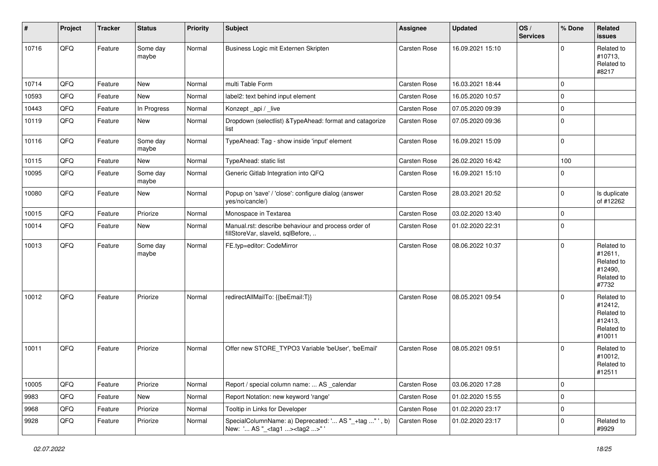| #     | Project | <b>Tracker</b> | <b>Status</b>     | <b>Priority</b> | <b>Subject</b>                                                                                     | Assignee     | <b>Updated</b>   | OS/<br><b>Services</b> | % Done      | Related<br>issues                                                      |
|-------|---------|----------------|-------------------|-----------------|----------------------------------------------------------------------------------------------------|--------------|------------------|------------------------|-------------|------------------------------------------------------------------------|
| 10716 | QFQ     | Feature        | Some day<br>maybe | Normal          | Business Logic mit Externen Skripten                                                               | Carsten Rose | 16.09.2021 15:10 |                        | $\Omega$    | Related to<br>#10713,<br>Related to<br>#8217                           |
| 10714 | QFQ     | Feature        | New               | Normal          | multi Table Form                                                                                   | Carsten Rose | 16.03.2021 18:44 |                        | $\Omega$    |                                                                        |
| 10593 | QFQ     | Feature        | New               | Normal          | label2: text behind input element                                                                  | Carsten Rose | 16.05.2020 10:57 |                        | $\mathbf 0$ |                                                                        |
| 10443 | QFQ     | Feature        | In Progress       | Normal          | Konzept_api / _live                                                                                | Carsten Rose | 07.05.2020 09:39 |                        | $\mathbf 0$ |                                                                        |
| 10119 | QFQ     | Feature        | New               | Normal          | Dropdown (selectlist) & TypeAhead: format and catagorize<br>list                                   | Carsten Rose | 07.05.2020 09:36 |                        | $\Omega$    |                                                                        |
| 10116 | QFQ     | Feature        | Some day<br>maybe | Normal          | TypeAhead: Tag - show inside 'input' element                                                       | Carsten Rose | 16.09.2021 15:09 |                        | $\mathbf 0$ |                                                                        |
| 10115 | QFQ     | Feature        | <b>New</b>        | Normal          | TypeAhead: static list                                                                             | Carsten Rose | 26.02.2020 16:42 |                        | 100         |                                                                        |
| 10095 | QFQ     | Feature        | Some day<br>maybe | Normal          | Generic Gitlab Integration into QFQ                                                                | Carsten Rose | 16.09.2021 15:10 |                        | $\Omega$    |                                                                        |
| 10080 | QFQ     | Feature        | <b>New</b>        | Normal          | Popup on 'save' / 'close': configure dialog (answer<br>yes/no/cancle/)                             | Carsten Rose | 28.03.2021 20:52 |                        | $\mathbf 0$ | Is duplicate<br>of #12262                                              |
| 10015 | QFQ     | Feature        | Priorize          | Normal          | Monospace in Textarea                                                                              | Carsten Rose | 03.02.2020 13:40 |                        | 0           |                                                                        |
| 10014 | QFQ     | Feature        | New               | Normal          | Manual.rst: describe behaviour and process order of<br>fillStoreVar, slaveId, sqlBefore,           | Carsten Rose | 01.02.2020 22:31 |                        | $\mathbf 0$ |                                                                        |
| 10013 | QFQ     | Feature        | Some day<br>maybe | Normal          | FE.typ=editor: CodeMirror                                                                          | Carsten Rose | 08.06.2022 10:37 |                        | $\mathbf 0$ | Related to<br>#12611,<br>Related to<br>#12490,<br>Related to<br>#7732  |
| 10012 | QFQ     | Feature        | Priorize          | Normal          | redirectAllMailTo: {{beEmail:T}}                                                                   | Carsten Rose | 08.05.2021 09:54 |                        | $\Omega$    | Related to<br>#12412,<br>Related to<br>#12413,<br>Related to<br>#10011 |
| 10011 | QFQ     | Feature        | Priorize          | Normal          | Offer new STORE_TYPO3 Variable 'beUser', 'beEmail'                                                 | Carsten Rose | 08.05.2021 09:51 |                        | $\Omega$    | Related to<br>#10012,<br>Related to<br>#12511                          |
| 10005 | QFQ     | Feature        | Priorize          | Normal          | Report / special column name:  AS _calendar                                                        | Carsten Rose | 03.06.2020 17:28 |                        | 0           |                                                                        |
| 9983  | QFQ     | Feature        | New               | Normal          | Report Notation: new keyword 'range'                                                               | Carsten Rose | 01.02.2020 15:55 |                        | 0           |                                                                        |
| 9968  | QFQ     | Feature        | Priorize          | Normal          | Tooltip in Links for Developer                                                                     | Carsten Rose | 01.02.2020 23:17 |                        | 0           |                                                                        |
| 9928  | QFQ     | Feature        | Priorize          | Normal          | SpecialColumnName: a) Deprecated: ' AS "_+tag " ', b)<br>New: ' AS "_ <tag1><tag2>"'</tag2></tag1> | Carsten Rose | 01.02.2020 23:17 |                        | 0           | Related to<br>#9929                                                    |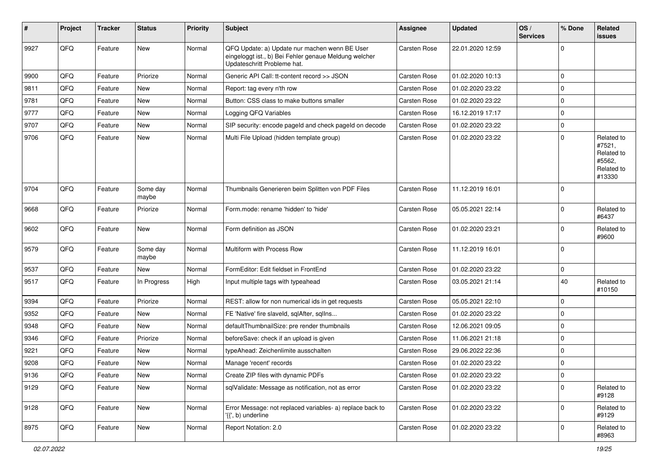| ∦    | Project | <b>Tracker</b> | <b>Status</b>     | <b>Priority</b> | <b>Subject</b>                                                                                                                        | Assignee     | <b>Updated</b>   | OS/<br><b>Services</b> | % Done      | Related<br>issues                                                    |
|------|---------|----------------|-------------------|-----------------|---------------------------------------------------------------------------------------------------------------------------------------|--------------|------------------|------------------------|-------------|----------------------------------------------------------------------|
| 9927 | QFQ     | Feature        | <b>New</b>        | Normal          | QFQ Update: a) Update nur machen wenn BE User<br>eingeloggt ist., b) Bei Fehler genaue Meldung welcher<br>Updateschritt Probleme hat. | Carsten Rose | 22.01.2020 12:59 |                        | $\mathbf 0$ |                                                                      |
| 9900 | QFQ     | Feature        | Priorize          | Normal          | Generic API Call: tt-content record >> JSON                                                                                           | Carsten Rose | 01.02.2020 10:13 |                        | $\mathbf 0$ |                                                                      |
| 9811 | QFQ     | Feature        | New               | Normal          | Report: tag every n'th row                                                                                                            | Carsten Rose | 01.02.2020 23:22 |                        | $\Omega$    |                                                                      |
| 9781 | QFQ     | Feature        | New               | Normal          | Button: CSS class to make buttons smaller                                                                                             | Carsten Rose | 01.02.2020 23:22 |                        | $\mathbf 0$ |                                                                      |
| 9777 | QFQ     | Feature        | <b>New</b>        | Normal          | Logging QFQ Variables                                                                                                                 | Carsten Rose | 16.12.2019 17:17 |                        | $\mathbf 0$ |                                                                      |
| 9707 | QFQ     | Feature        | New               | Normal          | SIP security: encode pageld and check pageld on decode                                                                                | Carsten Rose | 01.02.2020 23:22 |                        | $\mathbf 0$ |                                                                      |
| 9706 | QFQ     | Feature        | New               | Normal          | Multi File Upload (hidden template group)                                                                                             | Carsten Rose | 01.02.2020 23:22 |                        | $\Omega$    | Related to<br>#7521,<br>Related to<br>#5562,<br>Related to<br>#13330 |
| 9704 | QFQ     | Feature        | Some day<br>maybe | Normal          | Thumbnails Generieren beim Splitten von PDF Files                                                                                     | Carsten Rose | 11.12.2019 16:01 |                        | 0           |                                                                      |
| 9668 | QFQ     | Feature        | Priorize          | Normal          | Form.mode: rename 'hidden' to 'hide'                                                                                                  | Carsten Rose | 05.05.2021 22:14 |                        | $\mathbf 0$ | Related to<br>#6437                                                  |
| 9602 | QFQ     | Feature        | <b>New</b>        | Normal          | Form definition as JSON                                                                                                               | Carsten Rose | 01.02.2020 23:21 |                        | $\Omega$    | Related to<br>#9600                                                  |
| 9579 | QFQ     | Feature        | Some day<br>maybe | Normal          | Multiform with Process Row                                                                                                            | Carsten Rose | 11.12.2019 16:01 |                        | $\Omega$    |                                                                      |
| 9537 | QFQ     | Feature        | <b>New</b>        | Normal          | FormEditor: Edit fieldset in FrontEnd                                                                                                 | Carsten Rose | 01.02.2020 23:22 |                        | $\mathbf 0$ |                                                                      |
| 9517 | QFQ     | Feature        | In Progress       | High            | Input multiple tags with typeahead                                                                                                    | Carsten Rose | 03.05.2021 21:14 |                        | 40          | Related to<br>#10150                                                 |
| 9394 | QFQ     | Feature        | Priorize          | Normal          | REST: allow for non numerical ids in get requests                                                                                     | Carsten Rose | 05.05.2021 22:10 |                        | $\mathbf 0$ |                                                                      |
| 9352 | QFQ     | Feature        | New               | Normal          | FE 'Native' fire slaveld, sqlAfter, sqlIns                                                                                            | Carsten Rose | 01.02.2020 23:22 |                        | $\Omega$    |                                                                      |
| 9348 | QFQ     | Feature        | New               | Normal          | defaultThumbnailSize: pre render thumbnails                                                                                           | Carsten Rose | 12.06.2021 09:05 |                        | $\mathbf 0$ |                                                                      |
| 9346 | QFQ     | Feature        | Priorize          | Normal          | beforeSave: check if an upload is given                                                                                               | Carsten Rose | 11.06.2021 21:18 |                        | $\mathbf 0$ |                                                                      |
| 9221 | QFQ     | Feature        | New               | Normal          | typeAhead: Zeichenlimite ausschalten                                                                                                  | Carsten Rose | 29.06.2022 22:36 |                        | $\mathbf 0$ |                                                                      |
| 9208 | QFQ     | Feature        | New               | Normal          | Manage 'recent' records                                                                                                               | Carsten Rose | 01.02.2020 23:22 |                        | $\mathbf 0$ |                                                                      |
| 9136 | QFQ     | Feature        | <b>New</b>        | Normal          | Create ZIP files with dynamic PDFs                                                                                                    | Carsten Rose | 01.02.2020 23:22 |                        | 0           |                                                                      |
| 9129 | QFQ     | Feature        | New               | Normal          | sqlValidate: Message as notification, not as error                                                                                    | Carsten Rose | 01.02.2020 23:22 |                        | $\mathbf 0$ | Related to<br>#9128                                                  |
| 9128 | QFQ     | Feature        | New               | Normal          | Error Message: not replaced variables- a) replace back to<br>'{{', b) underline                                                       | Carsten Rose | 01.02.2020 23:22 |                        | $\mathbf 0$ | Related to<br>#9129                                                  |
| 8975 | QFQ     | Feature        | New               | Normal          | Report Notation: 2.0                                                                                                                  | Carsten Rose | 01.02.2020 23:22 |                        | 0           | Related to<br>#8963                                                  |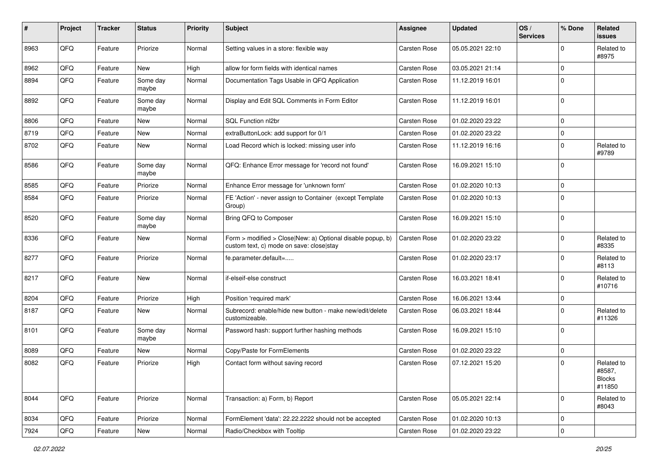| #    | Project | <b>Tracker</b> | <b>Status</b>     | <b>Priority</b> | <b>Subject</b>                                                                                         | <b>Assignee</b> | <b>Updated</b>   | OS/<br><b>Services</b> | % Done      | Related<br><b>issues</b>                        |
|------|---------|----------------|-------------------|-----------------|--------------------------------------------------------------------------------------------------------|-----------------|------------------|------------------------|-------------|-------------------------------------------------|
| 8963 | QFQ     | Feature        | Priorize          | Normal          | Setting values in a store: flexible way                                                                | Carsten Rose    | 05.05.2021 22:10 |                        | $\Omega$    | Related to<br>#8975                             |
| 8962 | QFQ     | Feature        | New               | High            | allow for form fields with identical names                                                             | Carsten Rose    | 03.05.2021 21:14 |                        | $\mathbf 0$ |                                                 |
| 8894 | QFQ     | Feature        | Some day<br>maybe | Normal          | Documentation Tags Usable in QFQ Application                                                           | Carsten Rose    | 11.12.2019 16:01 |                        | $\mathbf 0$ |                                                 |
| 8892 | QFQ     | Feature        | Some day<br>maybe | Normal          | Display and Edit SQL Comments in Form Editor                                                           | Carsten Rose    | 11.12.2019 16:01 |                        | $\Omega$    |                                                 |
| 8806 | QFQ     | Feature        | <b>New</b>        | Normal          | SQL Function nl2br                                                                                     | Carsten Rose    | 01.02.2020 23:22 |                        | $\mathbf 0$ |                                                 |
| 8719 | QFQ     | Feature        | <b>New</b>        | Normal          | extraButtonLock: add support for 0/1                                                                   | Carsten Rose    | 01.02.2020 23:22 |                        | $\mathbf 0$ |                                                 |
| 8702 | QFQ     | Feature        | <b>New</b>        | Normal          | Load Record which is locked: missing user info                                                         | Carsten Rose    | 11.12.2019 16:16 |                        | $\Omega$    | Related to<br>#9789                             |
| 8586 | QFQ     | Feature        | Some day<br>maybe | Normal          | QFQ: Enhance Error message for 'record not found'                                                      | Carsten Rose    | 16.09.2021 15:10 |                        | $\mathbf 0$ |                                                 |
| 8585 | QFQ     | Feature        | Priorize          | Normal          | Enhance Error message for 'unknown form'                                                               | Carsten Rose    | 01.02.2020 10:13 |                        | $\mathbf 0$ |                                                 |
| 8584 | QFQ     | Feature        | Priorize          | Normal          | FE 'Action' - never assign to Container (except Template)<br>Group)                                    | Carsten Rose    | 01.02.2020 10:13 |                        | $\mathbf 0$ |                                                 |
| 8520 | QFQ     | Feature        | Some day<br>maybe | Normal          | Bring QFQ to Composer                                                                                  | Carsten Rose    | 16.09.2021 15:10 |                        | 0           |                                                 |
| 8336 | QFQ     | Feature        | New               | Normal          | Form > modified > Close New: a) Optional disable popup, b)<br>custom text, c) mode on save: close stay | Carsten Rose    | 01.02.2020 23:22 |                        | $\Omega$    | Related to<br>#8335                             |
| 8277 | QFQ     | Feature        | Priorize          | Normal          | fe.parameter.default=                                                                                  | Carsten Rose    | 01.02.2020 23:17 |                        | $\Omega$    | Related to<br>#8113                             |
| 8217 | QFQ     | Feature        | New               | Normal          | if-elseif-else construct                                                                               | Carsten Rose    | 16.03.2021 18:41 |                        | $\Omega$    | Related to<br>#10716                            |
| 8204 | QFQ     | Feature        | Priorize          | High            | Position 'required mark'                                                                               | Carsten Rose    | 16.06.2021 13:44 |                        | $\mathbf 0$ |                                                 |
| 8187 | QFQ     | Feature        | New               | Normal          | Subrecord: enable/hide new button - make new/edit/delete<br>customizeable.                             | Carsten Rose    | 06.03.2021 18:44 |                        | $\Omega$    | Related to<br>#11326                            |
| 8101 | QFQ     | Feature        | Some day<br>maybe | Normal          | Password hash: support further hashing methods                                                         | Carsten Rose    | 16.09.2021 15:10 |                        | 0           |                                                 |
| 8089 | QFQ     | Feature        | New               | Normal          | Copy/Paste for FormElements                                                                            | Carsten Rose    | 01.02.2020 23:22 |                        | $\mathbf 0$ |                                                 |
| 8082 | QFQ     | Feature        | Priorize          | High            | Contact form without saving record                                                                     | Carsten Rose    | 07.12.2021 15:20 |                        | $\mathbf 0$ | Related to<br>#8587,<br><b>Blocks</b><br>#11850 |
| 8044 | QFQ     | Feature        | Priorize          | Normal          | Transaction: a) Form, b) Report                                                                        | Carsten Rose    | 05.05.2021 22:14 |                        | $\mathbf 0$ | Related to<br>#8043                             |
| 8034 | QFQ     | Feature        | Priorize          | Normal          | FormElement 'data': 22.22.2222 should not be accepted                                                  | Carsten Rose    | 01.02.2020 10:13 |                        | $\mathbf 0$ |                                                 |
| 7924 | QFG     | Feature        | New               | Normal          | Radio/Checkbox with Tooltip                                                                            | Carsten Rose    | 01.02.2020 23:22 |                        | $\pmb{0}$   |                                                 |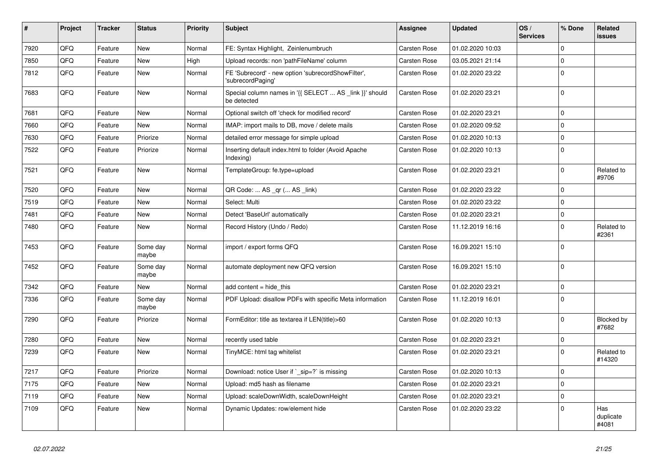| $\vert$ # | Project | <b>Tracker</b> | <b>Status</b>     | <b>Priority</b> | <b>Subject</b>                                                          | Assignee            | <b>Updated</b>   | OS/<br><b>Services</b> | % Done      | Related<br><b>issues</b>  |
|-----------|---------|----------------|-------------------|-----------------|-------------------------------------------------------------------------|---------------------|------------------|------------------------|-------------|---------------------------|
| 7920      | QFQ     | Feature        | <b>New</b>        | Normal          | FE: Syntax Highlight, Zeinlenumbruch                                    | <b>Carsten Rose</b> | 01.02.2020 10:03 |                        | $\Omega$    |                           |
| 7850      | QFQ     | Feature        | New               | High            | Upload records: non 'pathFileName' column                               | <b>Carsten Rose</b> | 03.05.2021 21:14 |                        | $\Omega$    |                           |
| 7812      | QFQ     | Feature        | New               | Normal          | FE 'Subrecord' - new option 'subrecordShowFilter',<br>'subrecordPaging' | Carsten Rose        | 01.02.2020 23:22 |                        | $\Omega$    |                           |
| 7683      | QFQ     | Feature        | <b>New</b>        | Normal          | Special column names in '{{ SELECT  AS _link }}' should<br>be detected  | Carsten Rose        | 01.02.2020 23:21 |                        | $\Omega$    |                           |
| 7681      | QFQ     | Feature        | <b>New</b>        | Normal          | Optional switch off 'check for modified record'                         | <b>Carsten Rose</b> | 01.02.2020 23:21 |                        | $\mathbf 0$ |                           |
| 7660      | QFQ     | Feature        | New               | Normal          | IMAP: import mails to DB, move / delete mails                           | <b>Carsten Rose</b> | 01.02.2020 09:52 |                        | 0           |                           |
| 7630      | QFQ     | Feature        | Priorize          | Normal          | detailed error message for simple upload                                | <b>Carsten Rose</b> | 01.02.2020 10:13 |                        | $\mathbf 0$ |                           |
| 7522      | QFQ     | Feature        | Priorize          | Normal          | Inserting default index.html to folder (Avoid Apache<br>Indexing)       | Carsten Rose        | 01.02.2020 10:13 |                        | $\mathbf 0$ |                           |
| 7521      | QFQ     | Feature        | New               | Normal          | TemplateGroup: fe.type=upload                                           | <b>Carsten Rose</b> | 01.02.2020 23:21 |                        | $\Omega$    | Related to<br>#9706       |
| 7520      | QFQ     | Feature        | <b>New</b>        | Normal          | QR Code:  AS _qr ( AS _link)                                            | Carsten Rose        | 01.02.2020 23:22 |                        | $\Omega$    |                           |
| 7519      | QFQ     | Feature        | New               | Normal          | Select: Multi                                                           | Carsten Rose        | 01.02.2020 23:22 |                        | $\Omega$    |                           |
| 7481      | QFQ     | Feature        | <b>New</b>        | Normal          | Detect 'BaseUrl' automatically                                          | Carsten Rose        | 01.02.2020 23:21 |                        | $\mathbf 0$ |                           |
| 7480      | QFQ     | Feature        | New               | Normal          | Record History (Undo / Redo)                                            | <b>Carsten Rose</b> | 11.12.2019 16:16 |                        | $\Omega$    | Related to<br>#2361       |
| 7453      | QFQ     | Feature        | Some day<br>maybe | Normal          | import / export forms QFQ                                               | <b>Carsten Rose</b> | 16.09.2021 15:10 |                        | $\Omega$    |                           |
| 7452      | QFQ     | Feature        | Some day<br>maybe | Normal          | automate deployment new QFQ version                                     | <b>Carsten Rose</b> | 16.09.2021 15:10 |                        | $\Omega$    |                           |
| 7342      | QFQ     | Feature        | <b>New</b>        | Normal          | add content $=$ hide this                                               | Carsten Rose        | 01.02.2020 23:21 |                        | 0           |                           |
| 7336      | QFQ     | Feature        | Some day<br>maybe | Normal          | PDF Upload: disallow PDFs with specific Meta information                | <b>Carsten Rose</b> | 11.12.2019 16:01 |                        | $\Omega$    |                           |
| 7290      | QFQ     | Feature        | Priorize          | Normal          | FormEditor: title as textarea if LEN(title)>60                          | <b>Carsten Rose</b> | 01.02.2020 10:13 |                        | $\Omega$    | Blocked by<br>#7682       |
| 7280      | QFQ     | Feature        | New               | Normal          | recently used table                                                     | <b>Carsten Rose</b> | 01.02.2020 23:21 |                        | 0           |                           |
| 7239      | QFQ     | Feature        | New               | Normal          | TinyMCE: html tag whitelist                                             | <b>Carsten Rose</b> | 01.02.2020 23:21 |                        | $\Omega$    | Related to<br>#14320      |
| 7217      | QFQ     | Feature        | Priorize          | Normal          | Download: notice User if `_sip=?` is missing                            | <b>Carsten Rose</b> | 01.02.2020 10:13 |                        | $\Omega$    |                           |
| 7175      | QFQ     | Feature        | <b>New</b>        | Normal          | Upload: md5 hash as filename                                            | Carsten Rose        | 01.02.2020 23:21 |                        | $\Omega$    |                           |
| 7119      | QFQ     | Feature        | New               | Normal          | Upload: scaleDownWidth, scaleDownHeight                                 | <b>Carsten Rose</b> | 01.02.2020 23:21 |                        | $\Omega$    |                           |
| 7109      | QFQ     | Feature        | New               | Normal          | Dynamic Updates: row/element hide                                       | <b>Carsten Rose</b> | 01.02.2020 23:22 |                        | $\Omega$    | Has<br>duplicate<br>#4081 |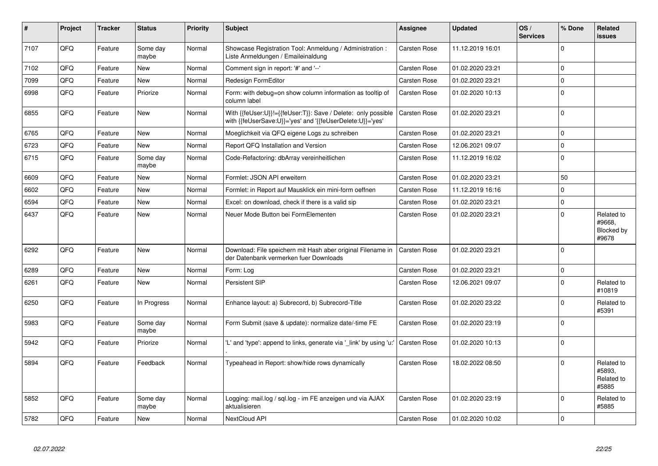| #    | Project | <b>Tracker</b> | <b>Status</b>     | <b>Priority</b> | <b>Subject</b>                                                                                                             | Assignee            | <b>Updated</b>   | OS/<br><b>Services</b> | % Done      | Related<br><b>issues</b>                    |
|------|---------|----------------|-------------------|-----------------|----------------------------------------------------------------------------------------------------------------------------|---------------------|------------------|------------------------|-------------|---------------------------------------------|
| 7107 | QFQ     | Feature        | Some day<br>maybe | Normal          | Showcase Registration Tool: Anmeldung / Administration :<br>Liste Anmeldungen / Emaileinaldung                             | <b>Carsten Rose</b> | 11.12.2019 16:01 |                        | $\Omega$    |                                             |
| 7102 | QFQ     | Feature        | <b>New</b>        | Normal          | Comment sign in report: '#' and '--'                                                                                       | <b>Carsten Rose</b> | 01.02.2020 23:21 |                        | $\Omega$    |                                             |
| 7099 | QFQ     | Feature        | New               | Normal          | Redesign FormEditor                                                                                                        | <b>Carsten Rose</b> | 01.02.2020 23:21 |                        | $\mathbf 0$ |                                             |
| 6998 | QFQ     | Feature        | Priorize          | Normal          | Form: with debug=on show column information as tooltip of<br>column label                                                  | <b>Carsten Rose</b> | 01.02.2020 10:13 |                        | $\Omega$    |                                             |
| 6855 | QFQ     | Feature        | New               | Normal          | With {{feUser:U}}!={{feUser:T}}: Save / Delete: only possible<br>with {{feUserSave:U}}='yes' and '{{feUserDelete:U}}='yes' | <b>Carsten Rose</b> | 01.02.2020 23:21 |                        | $\Omega$    |                                             |
| 6765 | QFQ     | Feature        | New               | Normal          | Moeglichkeit via QFQ eigene Logs zu schreiben                                                                              | <b>Carsten Rose</b> | 01.02.2020 23:21 |                        | $\mathbf 0$ |                                             |
| 6723 | QFQ     | Feature        | New               | Normal          | Report QFQ Installation and Version                                                                                        | <b>Carsten Rose</b> | 12.06.2021 09:07 |                        | $\Omega$    |                                             |
| 6715 | QFQ     | Feature        | Some day<br>maybe | Normal          | Code-Refactoring: dbArray vereinheitlichen                                                                                 | <b>Carsten Rose</b> | 11.12.2019 16:02 |                        | $\Omega$    |                                             |
| 6609 | QFQ     | Feature        | New               | Normal          | Formlet: JSON API erweitern                                                                                                | Carsten Rose        | 01.02.2020 23:21 |                        | 50          |                                             |
| 6602 | QFQ     | Feature        | New               | Normal          | Formlet: in Report auf Mausklick ein mini-form oeffnen                                                                     | <b>Carsten Rose</b> | 11.12.2019 16:16 |                        | 0           |                                             |
| 6594 | QFQ     | Feature        | New               | Normal          | Excel: on download, check if there is a valid sip                                                                          | <b>Carsten Rose</b> | 01.02.2020 23:21 |                        | $\Omega$    |                                             |
| 6437 | QFQ     | Feature        | New               | Normal          | Neuer Mode Button bei FormElementen                                                                                        | <b>Carsten Rose</b> | 01.02.2020 23:21 |                        | $\Omega$    | Related to<br>#9668.<br>Blocked by<br>#9678 |
| 6292 | QFQ     | Feature        | New               | Normal          | Download: File speichern mit Hash aber original Filename in<br>der Datenbank vermerken fuer Downloads                      | Carsten Rose        | 01.02.2020 23:21 |                        | $\Omega$    |                                             |
| 6289 | QFQ     | Feature        | <b>New</b>        | Normal          | Form: Log                                                                                                                  | Carsten Rose        | 01.02.2020 23:21 |                        | $\Omega$    |                                             |
| 6261 | QFQ     | Feature        | New               | Normal          | Persistent SIP                                                                                                             | Carsten Rose        | 12.06.2021 09:07 |                        | $\Omega$    | Related to<br>#10819                        |
| 6250 | QFQ     | Feature        | In Progress       | Normal          | Enhance layout: a) Subrecord, b) Subrecord-Title                                                                           | <b>Carsten Rose</b> | 01.02.2020 23:22 |                        | $\Omega$    | Related to<br>#5391                         |
| 5983 | QFQ     | Feature        | Some day<br>maybe | Normal          | Form Submit (save & update): normalize date/-time FE                                                                       | Carsten Rose        | 01.02.2020 23:19 |                        | $\Omega$    |                                             |
| 5942 | QFQ     | Feature        | Priorize          | Normal          | 'L' and 'type': append to links, generate via '_link' by using 'u:'                                                        | Carsten Rose        | 01.02.2020 10:13 |                        | $\Omega$    |                                             |
| 5894 | QFQ     | Feature        | Feedback          | Normal          | Typeahead in Report: show/hide rows dynamically                                                                            | <b>Carsten Rose</b> | 18.02.2022 08:50 |                        | $\Omega$    | Related to<br>#5893,<br>Related to<br>#5885 |
| 5852 | QFQ     | Feature        | Some day<br>maybe | Normal          | Logging: mail.log / sql.log - im FE anzeigen und via AJAX<br>aktualisieren                                                 | <b>Carsten Rose</b> | 01.02.2020 23:19 |                        | $\Omega$    | Related to<br>#5885                         |
| 5782 | QFQ     | Feature        | <b>New</b>        | Normal          | NextCloud API                                                                                                              | <b>Carsten Rose</b> | 01.02.2020 10:02 |                        | $\Omega$    |                                             |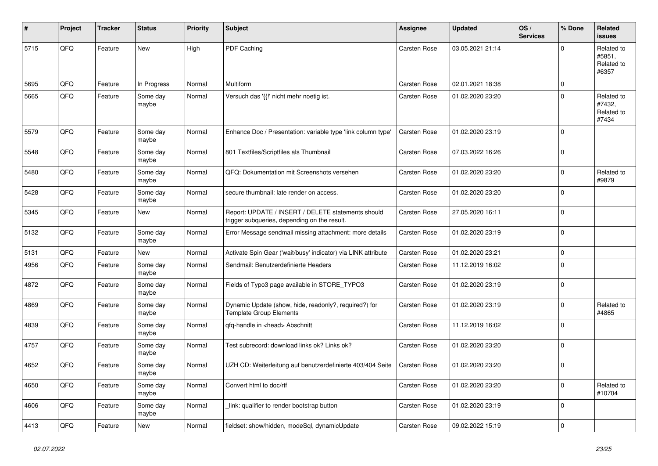| #    | Project | <b>Tracker</b> | <b>Status</b>     | <b>Priority</b> | <b>Subject</b>                                                                                     | Assignee            | <b>Updated</b>   | OS/<br><b>Services</b> | % Done      | Related<br><b>issues</b>                    |
|------|---------|----------------|-------------------|-----------------|----------------------------------------------------------------------------------------------------|---------------------|------------------|------------------------|-------------|---------------------------------------------|
| 5715 | QFQ     | Feature        | <b>New</b>        | High            | PDF Caching                                                                                        | Carsten Rose        | 03.05.2021 21:14 |                        | $\Omega$    | Related to<br>#5851,<br>Related to<br>#6357 |
| 5695 | QFQ     | Feature        | In Progress       | Normal          | Multiform                                                                                          | Carsten Rose        | 02.01.2021 18:38 |                        | $\mathbf 0$ |                                             |
| 5665 | QFQ     | Feature        | Some day<br>maybe | Normal          | Versuch das '{{!' nicht mehr noetig ist.                                                           | Carsten Rose        | 01.02.2020 23:20 |                        | $\Omega$    | Related to<br>#7432,<br>Related to<br>#7434 |
| 5579 | QFQ     | Feature        | Some day<br>maybe | Normal          | Enhance Doc / Presentation: variable type 'link column type'                                       | <b>Carsten Rose</b> | 01.02.2020 23:19 |                        | $\Omega$    |                                             |
| 5548 | QFQ     | Feature        | Some day<br>maybe | Normal          | 801 Textfiles/Scriptfiles als Thumbnail                                                            | <b>Carsten Rose</b> | 07.03.2022 16:26 |                        | $\Omega$    |                                             |
| 5480 | QFQ     | Feature        | Some day<br>maybe | Normal          | QFQ: Dokumentation mit Screenshots versehen                                                        | Carsten Rose        | 01.02.2020 23:20 |                        | $\mathbf 0$ | Related to<br>#9879                         |
| 5428 | QFQ     | Feature        | Some day<br>maybe | Normal          | secure thumbnail: late render on access.                                                           | Carsten Rose        | 01.02.2020 23:20 |                        | $\Omega$    |                                             |
| 5345 | QFQ     | Feature        | <b>New</b>        | Normal          | Report: UPDATE / INSERT / DELETE statements should<br>trigger subqueries, depending on the result. | Carsten Rose        | 27.05.2020 16:11 |                        | $\mathbf 0$ |                                             |
| 5132 | QFQ     | Feature        | Some day<br>maybe | Normal          | Error Message sendmail missing attachment: more details                                            | <b>Carsten Rose</b> | 01.02.2020 23:19 |                        | $\mathbf 0$ |                                             |
| 5131 | QFQ     | Feature        | New               | Normal          | Activate Spin Gear ('wait/busy' indicator) via LINK attribute                                      | Carsten Rose        | 01.02.2020 23:21 |                        | $\pmb{0}$   |                                             |
| 4956 | QFQ     | Feature        | Some day<br>maybe | Normal          | Sendmail: Benutzerdefinierte Headers                                                               | Carsten Rose        | 11.12.2019 16:02 |                        | $\Omega$    |                                             |
| 4872 | QFQ     | Feature        | Some day<br>maybe | Normal          | Fields of Typo3 page available in STORE_TYPO3                                                      | <b>Carsten Rose</b> | 01.02.2020 23:19 |                        | $\Omega$    |                                             |
| 4869 | QFQ     | Feature        | Some day<br>maybe | Normal          | Dynamic Update (show, hide, readonly?, required?) for<br><b>Template Group Elements</b>            | <b>Carsten Rose</b> | 01.02.2020 23:19 |                        | $\mathbf 0$ | Related to<br>#4865                         |
| 4839 | QFQ     | Feature        | Some day<br>maybe | Normal          | qfq-handle in <head> Abschnitt</head>                                                              | Carsten Rose        | 11.12.2019 16:02 |                        | $\mathbf 0$ |                                             |
| 4757 | QFQ     | Feature        | Some day<br>maybe | Normal          | Test subrecord: download links ok? Links ok?                                                       | Carsten Rose        | 01.02.2020 23:20 |                        | $\Omega$    |                                             |
| 4652 | QFQ     | Feature        | Some day<br>maybe | Normal          | UZH CD: Weiterleitung auf benutzerdefinierte 403/404 Seite                                         | Carsten Rose        | 01.02.2020 23:20 |                        | $\Omega$    |                                             |
| 4650 | QFQ     | Feature        | Some day<br>maybe | Normal          | Convert html to doc/rtf                                                                            | <b>Carsten Rose</b> | 01.02.2020 23:20 |                        | $\Omega$    | Related to<br>#10704                        |
| 4606 | QFQ     | Feature        | Some day<br>maybe | Normal          | link: qualifier to render bootstrap button                                                         | Carsten Rose        | 01.02.2020 23:19 |                        | $\Omega$    |                                             |
| 4413 | QFQ     | Feature        | New               | Normal          | fieldset: show/hidden, modeSql, dynamicUpdate                                                      | <b>Carsten Rose</b> | 09.02.2022 15:19 |                        | $\mathbf 0$ |                                             |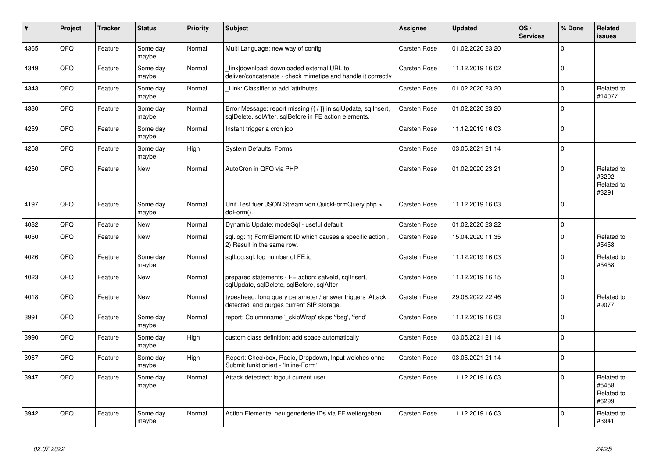| $\vert$ # | Project | <b>Tracker</b> | <b>Status</b>     | <b>Priority</b> | <b>Subject</b>                                                                                                          | <b>Assignee</b>     | <b>Updated</b>   | OS/<br><b>Services</b> | % Done      | Related<br><b>issues</b>                    |
|-----------|---------|----------------|-------------------|-----------------|-------------------------------------------------------------------------------------------------------------------------|---------------------|------------------|------------------------|-------------|---------------------------------------------|
| 4365      | QFQ     | Feature        | Some day<br>maybe | Normal          | Multi Language: new way of config                                                                                       | <b>Carsten Rose</b> | 01.02.2020 23:20 |                        | $\Omega$    |                                             |
| 4349      | QFQ     | Feature        | Some day<br>maybe | Normal          | link download: downloaded external URL to<br>deliver/concatenate - check mimetipe and handle it correctly               | <b>Carsten Rose</b> | 11.12.2019 16:02 |                        | $\Omega$    |                                             |
| 4343      | QFQ     | Feature        | Some day<br>maybe | Normal          | Link: Classifier to add 'attributes'                                                                                    | <b>Carsten Rose</b> | 01.02.2020 23:20 |                        | $\Omega$    | Related to<br>#14077                        |
| 4330      | QFQ     | Feature        | Some day<br>maybe | Normal          | Error Message: report missing {{ / }} in sqlUpdate, sqlInsert,<br>sqlDelete, sqlAfter, sqlBefore in FE action elements. | Carsten Rose        | 01.02.2020 23:20 |                        | $\Omega$    |                                             |
| 4259      | QFQ     | Feature        | Some day<br>maybe | Normal          | Instant trigger a cron job                                                                                              | <b>Carsten Rose</b> | 11.12.2019 16:03 |                        | $\mathbf 0$ |                                             |
| 4258      | QFG     | Feature        | Some day<br>maybe | High            | <b>System Defaults: Forms</b>                                                                                           | Carsten Rose        | 03.05.2021 21:14 |                        | $\Omega$    |                                             |
| 4250      | QFQ     | Feature        | <b>New</b>        | Normal          | AutoCron in QFQ via PHP                                                                                                 | Carsten Rose        | 01.02.2020 23:21 |                        | $\Omega$    | Related to<br>#3292,<br>Related to<br>#3291 |
| 4197      | QFQ     | Feature        | Some day<br>maybe | Normal          | Unit Test fuer JSON Stream von QuickFormQuery.php ><br>doForm()                                                         | Carsten Rose        | 11.12.2019 16:03 |                        | $\mathbf 0$ |                                             |
| 4082      | QFQ     | Feature        | <b>New</b>        | Normal          | Dynamic Update: modeSql - useful default                                                                                | <b>Carsten Rose</b> | 01.02.2020 23:22 |                        | $\mathbf 0$ |                                             |
| 4050      | QFQ     | Feature        | New               | Normal          | sql.log: 1) FormElement ID which causes a specific action,<br>2) Result in the same row.                                | Carsten Rose        | 15.04.2020 11:35 |                        | $\Omega$    | Related to<br>#5458                         |
| 4026      | QFQ     | Feature        | Some day<br>maybe | Normal          | sqlLog.sql: log number of FE.id                                                                                         | Carsten Rose        | 11.12.2019 16:03 |                        | $\Omega$    | Related to<br>#5458                         |
| 4023      | QFQ     | Feature        | <b>New</b>        | Normal          | prepared statements - FE action: salveld, sqllnsert,<br>sglUpdate, sglDelete, sglBefore, sglAfter                       | Carsten Rose        | 11.12.2019 16:15 |                        | $\Omega$    |                                             |
| 4018      | QFQ     | Feature        | New               | Normal          | typeahead: long query parameter / answer triggers 'Attack<br>detected' and purges current SIP storage.                  | Carsten Rose        | 29.06.2022 22:46 |                        | $\Omega$    | Related to<br>#9077                         |
| 3991      | QFQ     | Feature        | Some day<br>maybe | Normal          | report: Columnname '_skipWrap' skips 'fbeg', 'fend'                                                                     | Carsten Rose        | 11.12.2019 16:03 |                        | $\mathbf 0$ |                                             |
| 3990      | QFQ     | Feature        | Some day<br>maybe | High            | custom class definition: add space automatically                                                                        | <b>Carsten Rose</b> | 03.05.2021 21:14 |                        | $\Omega$    |                                             |
| 3967      | QFQ     | Feature        | Some day<br>maybe | High            | Report: Checkbox, Radio, Dropdown, Input welches ohne<br>Submit funktioniert - 'Inline-Form'                            | <b>Carsten Rose</b> | 03.05.2021 21:14 |                        | $\Omega$    |                                             |
| 3947      | QFQ     | Feature        | Some day<br>maybe | Normal          | Attack detectect: logout current user                                                                                   | <b>Carsten Rose</b> | 11.12.2019 16:03 |                        | $\mathbf 0$ | Related to<br>#5458,<br>Related to<br>#6299 |
| 3942      | QFQ     | Feature        | Some day<br>maybe | Normal          | Action Elemente: neu generierte IDs via FE weitergeben                                                                  | <b>Carsten Rose</b> | 11.12.2019 16:03 |                        | $\Omega$    | Related to<br>#3941                         |